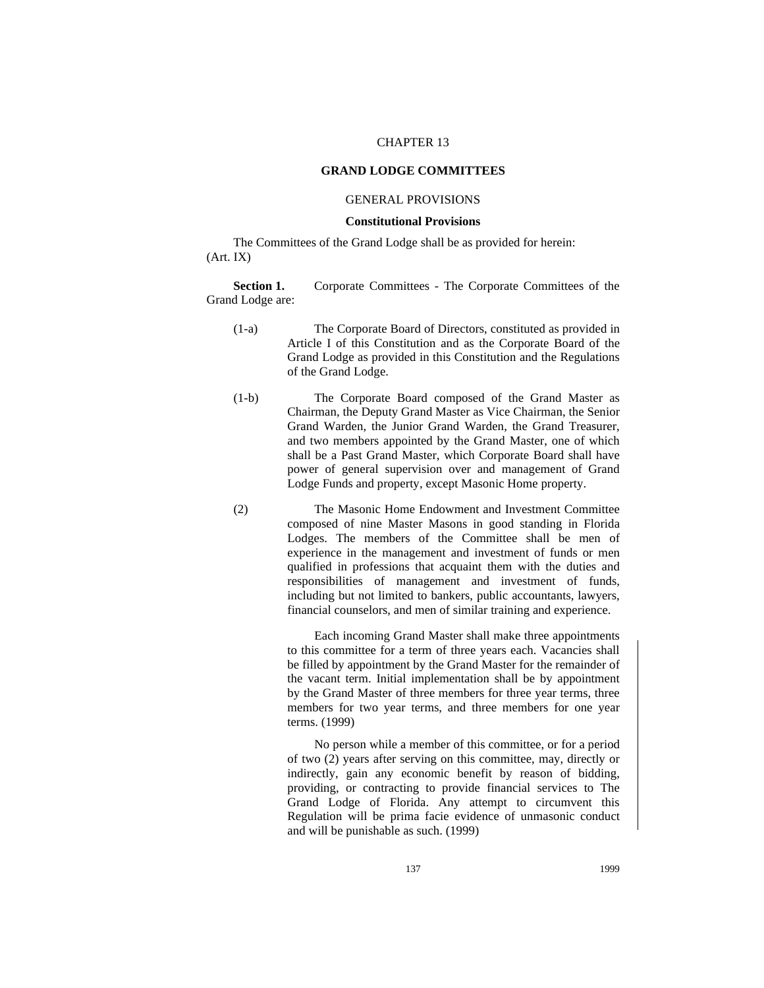## CHAPTER 13

### **GRAND LODGE COMMITTEES**

## GENERAL PROVISIONS

#### **Constitutional Provisions**

The Committees of the Grand Lodge shall be as provided for herein: (Art. IX)

**Section 1.** Corporate Committees - The Corporate Committees of the Grand Lodge are:

- (1-a) The Corporate Board of Directors, constituted as provided in Article I of this Constitution and as the Corporate Board of the Grand Lodge as provided in this Constitution and the Regulations of the Grand Lodge.
- (1-b) The Corporate Board composed of the Grand Master as Chairman, the Deputy Grand Master as Vice Chairman, the Senior Grand Warden, the Junior Grand Warden, the Grand Treasurer, and two members appointed by the Grand Master, one of which shall be a Past Grand Master, which Corporate Board shall have power of general supervision over and management of Grand Lodge Funds and property, except Masonic Home property.
- 

(2) The Masonic Home Endowment and Investment Committee composed of nine Master Masons in good standing in Florida Lodges. The members of the Committee shall be men of experience in the management and investment of funds or men qualified in professions that acquaint them with the duties and responsibilities of management and investment of funds, including but not limited to bankers, public accountants, lawyers, financial counselors, and men of similar training and experience.

> Each incoming Grand Master shall make three appointments to this committee for a term of three years each. Vacancies shall be filled by appointment by the Grand Master for the remainder of the vacant term. Initial implementation shall be by appointment by the Grand Master of three members for three year terms, three members for two year terms, and three members for one year terms. (1999)

> No person while a member of this committee, or for a period of two (2) years after serving on this committee, may, directly or indirectly, gain any economic benefit by reason of bidding, providing, or contracting to provide financial services to The Grand Lodge of Florida. Any attempt to circumvent this Regulation will be prima facie evidence of unmasonic conduct and will be punishable as such. (1999)

137 1999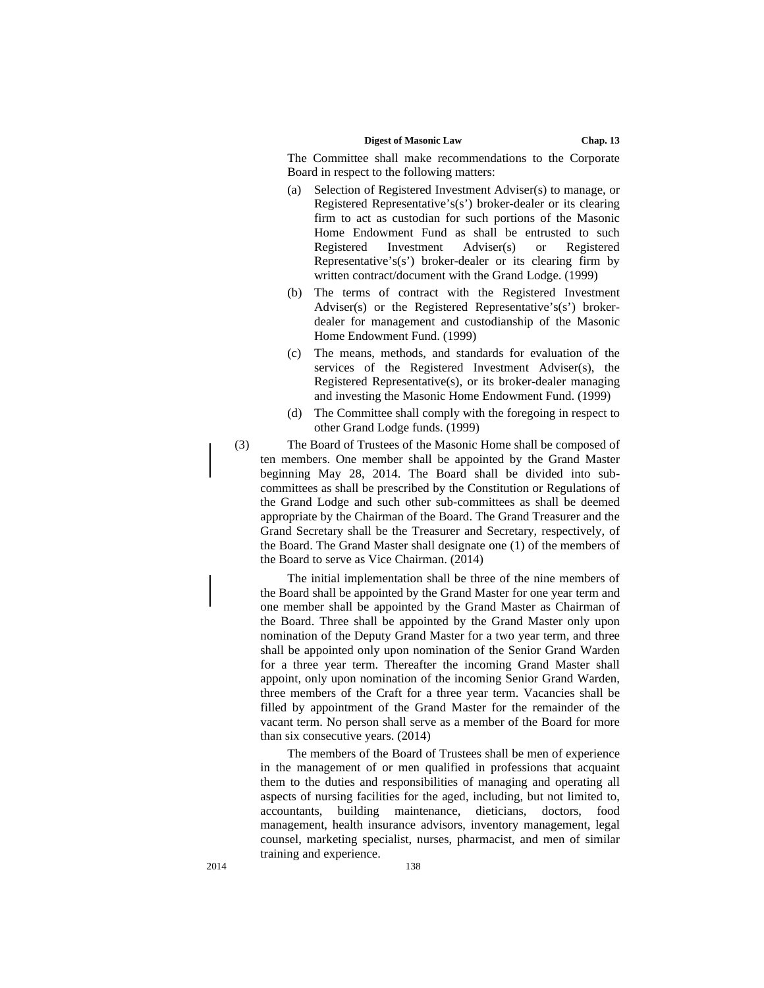The Committee shall make recommendations to the Corporate Board in respect to the following matters:

- (a) Selection of Registered Investment Adviser(s) to manage, or Registered Representative's(s') broker-dealer or its clearing firm to act as custodian for such portions of the Masonic Home Endowment Fund as shall be entrusted to such Registered Investment Adviser(s) or Registered Representative's(s') broker-dealer or its clearing firm by written contract/document with the Grand Lodge. (1999)
- (b) The terms of contract with the Registered Investment Adviser(s) or the Registered Representative's(s') brokerdealer for management and custodianship of the Masonic Home Endowment Fund. (1999)
- (c) The means, methods, and standards for evaluation of the services of the Registered Investment Adviser(s), the Registered Representative(s), or its broker-dealer managing and investing the Masonic Home Endowment Fund. (1999)
- (d) The Committee shall comply with the foregoing in respect to other Grand Lodge funds. (1999)
- (3) The Board of Trustees of the Masonic Home shall be composed of ten members. One member shall be appointed by the Grand Master beginning May 28, 2014. The Board shall be divided into subcommittees as shall be prescribed by the Constitution or Regulations of the Grand Lodge and such other sub-committees as shall be deemed appropriate by the Chairman of the Board. The Grand Treasurer and the Grand Secretary shall be the Treasurer and Secretary, respectively, of the Board. The Grand Master shall designate one (1) of the members of the Board to serve as Vice Chairman. (2014)

The initial implementation shall be three of the nine members of the Board shall be appointed by the Grand Master for one year term and one member shall be appointed by the Grand Master as Chairman of the Board. Three shall be appointed by the Grand Master only upon nomination of the Deputy Grand Master for a two year term, and three shall be appointed only upon nomination of the Senior Grand Warden for a three year term. Thereafter the incoming Grand Master shall appoint, only upon nomination of the incoming Senior Grand Warden, three members of the Craft for a three year term. Vacancies shall be filled by appointment of the Grand Master for the remainder of the vacant term. No person shall serve as a member of the Board for more than six consecutive years. (2014)

The members of the Board of Trustees shall be men of experience in the management of or men qualified in professions that acquaint them to the duties and responsibilities of managing and operating all aspects of nursing facilities for the aged, including, but not limited to, accountants, building maintenance, dieticians, doctors, food management, health insurance advisors, inventory management, legal counsel, marketing specialist, nurses, pharmacist, and men of similar training and experience.

2014 138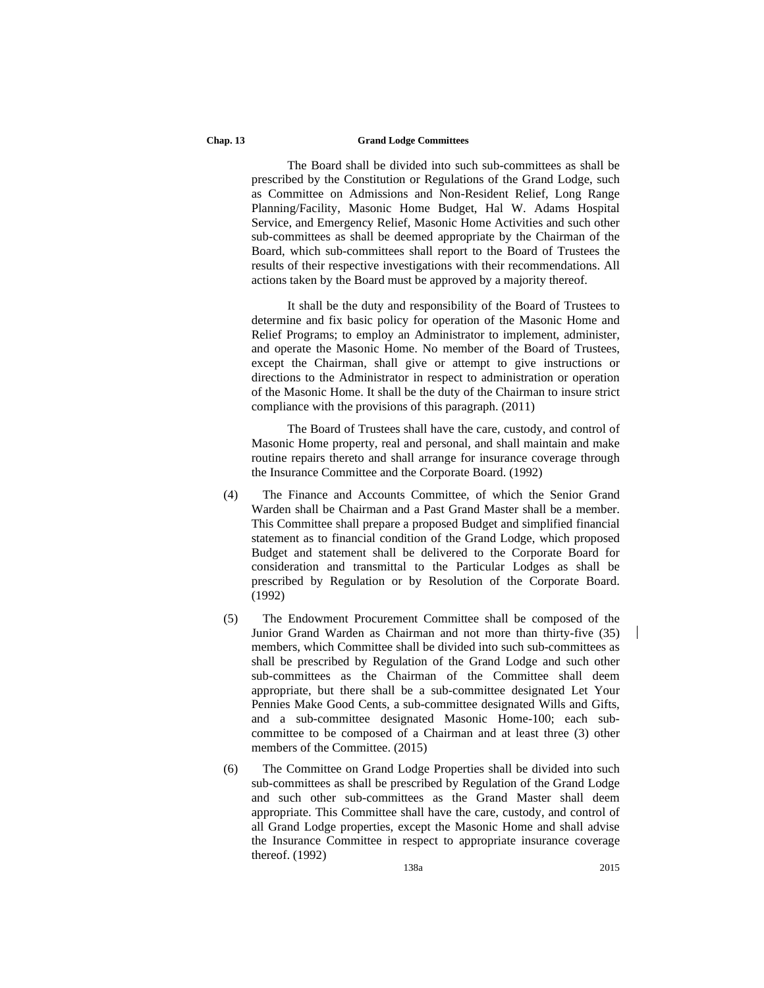#### **Chap. 13 Grand Lodge Committees**

The Board shall be divided into such sub-committees as shall be prescribed by the Constitution or Regulations of the Grand Lodge, such as Committee on Admissions and Non-Resident Relief, Long Range Planning/Facility, Masonic Home Budget, Hal W. Adams Hospital Service, and Emergency Relief, Masonic Home Activities and such other sub-committees as shall be deemed appropriate by the Chairman of the Board, which sub-committees shall report to the Board of Trustees the results of their respective investigations with their recommendations. All actions taken by the Board must be approved by a majority thereof.

It shall be the duty and responsibility of the Board of Trustees to determine and fix basic policy for operation of the Masonic Home and Relief Programs; to employ an Administrator to implement, administer, and operate the Masonic Home. No member of the Board of Trustees, except the Chairman, shall give or attempt to give instructions or directions to the Administrator in respect to administration or operation of the Masonic Home. It shall be the duty of the Chairman to insure strict compliance with the provisions of this paragraph. (2011)

The Board of Trustees shall have the care, custody, and control of Masonic Home property, real and personal, and shall maintain and make routine repairs thereto and shall arrange for insurance coverage through the Insurance Committee and the Corporate Board. (1992)

- (4) The Finance and Accounts Committee, of which the Senior Grand Warden shall be Chairman and a Past Grand Master shall be a member. This Committee shall prepare a proposed Budget and simplified financial statement as to financial condition of the Grand Lodge, which proposed Budget and statement shall be delivered to the Corporate Board for consideration and transmittal to the Particular Lodges as shall be prescribed by Regulation or by Resolution of the Corporate Board. (1992)
- (5) The Endowment Procurement Committee shall be composed of the Junior Grand Warden as Chairman and not more than thirty-five (35) members, which Committee shall be divided into such sub-committees as shall be prescribed by Regulation of the Grand Lodge and such other sub-committees as the Chairman of the Committee shall deem appropriate, but there shall be a sub-committee designated Let Your Pennies Make Good Cents, a sub-committee designated Wills and Gifts, and a sub-committee designated Masonic Home-100; each subcommittee to be composed of a Chairman and at least three (3) other members of the Committee. (2015)
- (6) The Committee on Grand Lodge Properties shall be divided into such sub-committees as shall be prescribed by Regulation of the Grand Lodge and such other sub-committees as the Grand Master shall deem appropriate. This Committee shall have the care, custody, and control of all Grand Lodge properties, except the Masonic Home and shall advise the Insurance Committee in respect to appropriate insurance coverage thereof. (1992)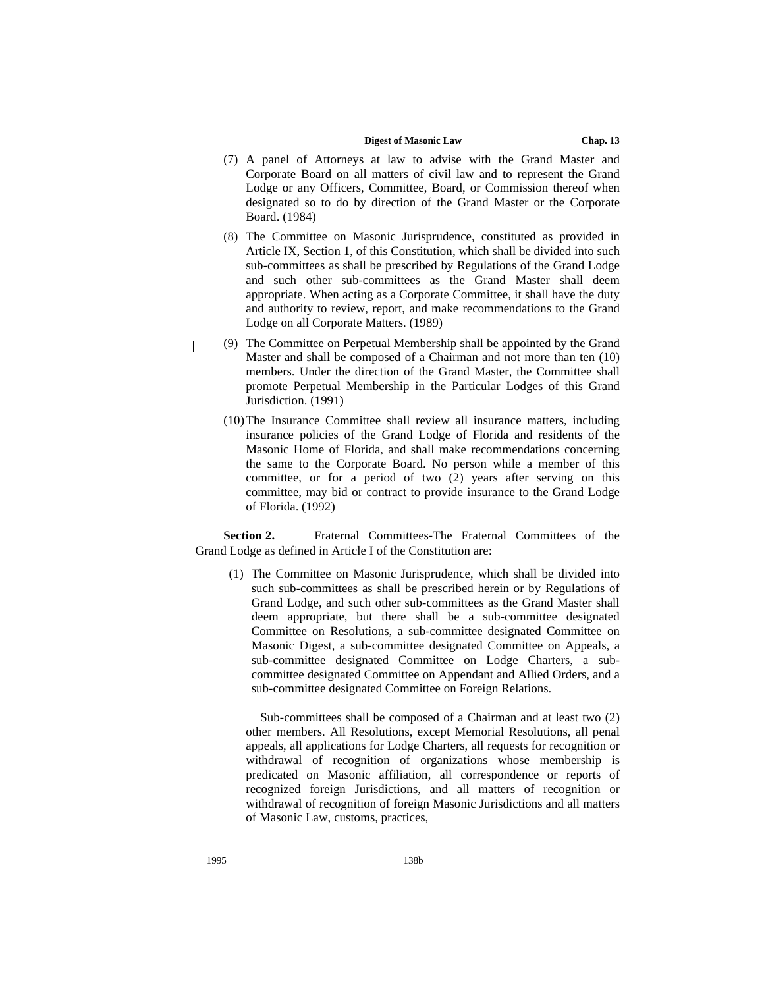- (7) A panel of Attorneys at law to advise with the Grand Master and Corporate Board on all matters of civil law and to represent the Grand Lodge or any Officers, Committee, Board, or Commission thereof when designated so to do by direction of the Grand Master or the Corporate Board. (1984)
- (8) The Committee on Masonic Jurisprudence, constituted as provided in Article IX, Section 1, of this Constitution, which shall be divided into such sub-committees as shall be prescribed by Regulations of the Grand Lodge and such other sub-committees as the Grand Master shall deem appropriate. When acting as a Corporate Committee, it shall have the duty and authority to review, report, and make recommendations to the Grand Lodge on all Corporate Matters. (1989)
- (9) The Committee on Perpetual Membership shall be appointed by the Grand Master and shall be composed of a Chairman and not more than ten (10) members. Under the direction of the Grand Master, the Committee shall promote Perpetual Membership in the Particular Lodges of this Grand Jurisdiction. (1991)
	- (10)The Insurance Committee shall review all insurance matters, including insurance policies of the Grand Lodge of Florida and residents of the Masonic Home of Florida, and shall make recommendations concerning the same to the Corporate Board. No person while a member of this committee, or for a period of two (2) years after serving on this committee, may bid or contract to provide insurance to the Grand Lodge of Florida. (1992)

**Section 2.** Fraternal Committees-The Fraternal Committees of the Grand Lodge as defined in Article I of the Constitution are:

(1) The Committee on Masonic Jurisprudence, which shall be divided into such sub-committees as shall be prescribed herein or by Regulations of Grand Lodge, and such other sub-committees as the Grand Master shall deem appropriate, but there shall be a sub-committee designated Committee on Resolutions, a sub-committee designated Committee on Masonic Digest, a sub-committee designated Committee on Appeals, a sub-committee designated Committee on Lodge Charters, a subcommittee designated Committee on Appendant and Allied Orders, and a sub-committee designated Committee on Foreign Relations.

Sub-committees shall be composed of a Chairman and at least two (2) other members. All Resolutions, except Memorial Resolutions, all penal appeals, all applications for Lodge Charters, all requests for recognition or withdrawal of recognition of organizations whose membership is predicated on Masonic affiliation, all correspondence or reports of recognized foreign Jurisdictions, and all matters of recognition or withdrawal of recognition of foreign Masonic Jurisdictions and all matters of Masonic Law, customs, practices,

 $\overline{\phantom{a}}$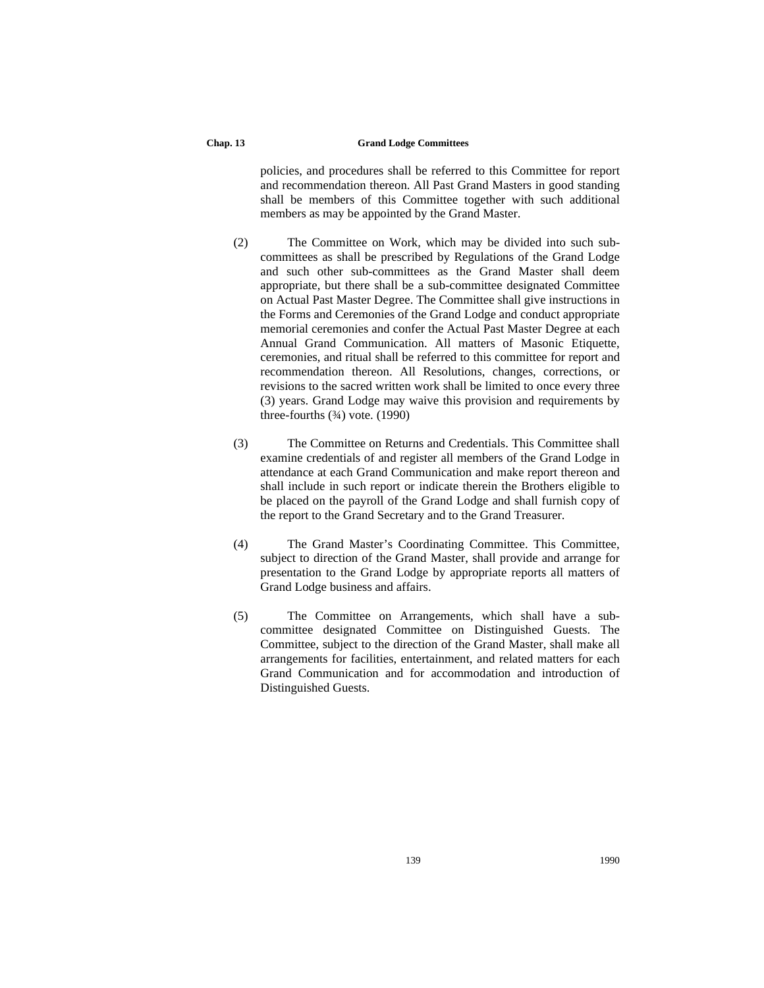## **Chap. 13 Grand Lodge Committees**

policies, and procedures shall be referred to this Committee for report and recommendation thereon. All Past Grand Masters in good standing shall be members of this Committee together with such additional members as may be appointed by the Grand Master.

- (2) The Committee on Work, which may be divided into such subcommittees as shall be prescribed by Regulations of the Grand Lodge and such other sub-committees as the Grand Master shall deem appropriate, but there shall be a sub-committee designated Committee on Actual Past Master Degree. The Committee shall give instructions in the Forms and Ceremonies of the Grand Lodge and conduct appropriate memorial ceremonies and confer the Actual Past Master Degree at each Annual Grand Communication. All matters of Masonic Etiquette, ceremonies, and ritual shall be referred to this committee for report and recommendation thereon. All Resolutions, changes, corrections, or revisions to the sacred written work shall be limited to once every three (3) years. Grand Lodge may waive this provision and requirements by three-fourths  $(3/4)$  vote.  $(1990)$
- (3) The Committee on Returns and Credentials. This Committee shall examine credentials of and register all members of the Grand Lodge in attendance at each Grand Communication and make report thereon and shall include in such report or indicate therein the Brothers eligible to be placed on the payroll of the Grand Lodge and shall furnish copy of the report to the Grand Secretary and to the Grand Treasurer.
- (4) The Grand Master's Coordinating Committee. This Committee, subject to direction of the Grand Master, shall provide and arrange for presentation to the Grand Lodge by appropriate reports all matters of Grand Lodge business and affairs.
- (5) The Committee on Arrangements, which shall have a subcommittee designated Committee on Distinguished Guests. The Committee, subject to the direction of the Grand Master, shall make all arrangements for facilities, entertainment, and related matters for each Grand Communication and for accommodation and introduction of Distinguished Guests.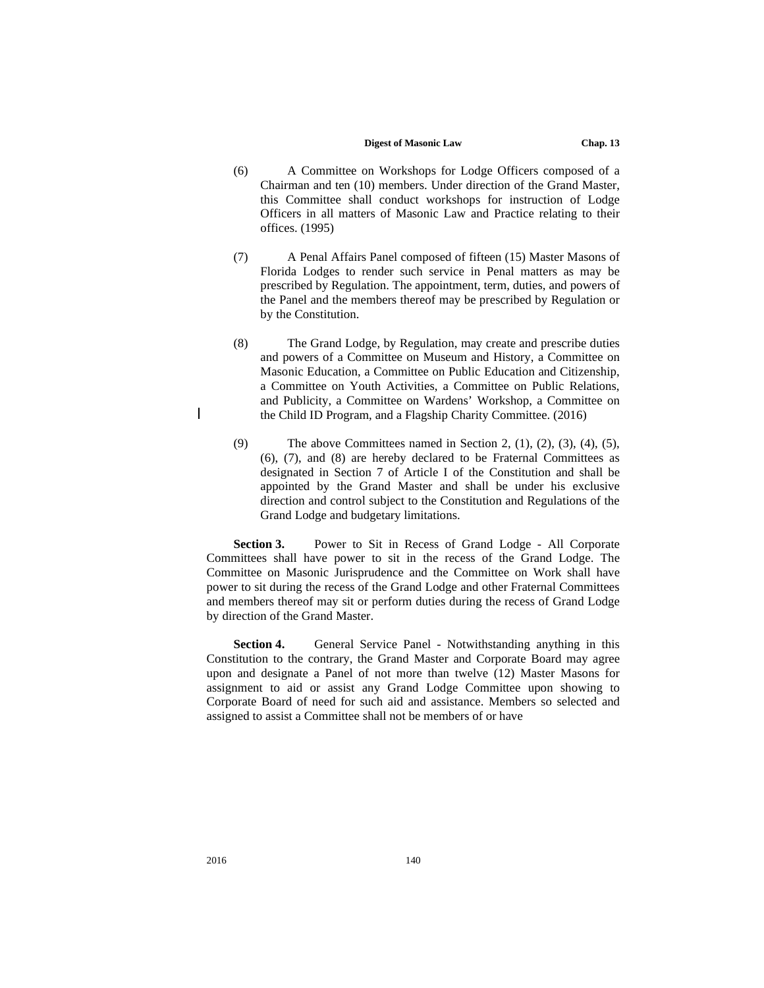- (6) A Committee on Workshops for Lodge Officers composed of a Chairman and ten (10) members. Under direction of the Grand Master, this Committee shall conduct workshops for instruction of Lodge Officers in all matters of Masonic Law and Practice relating to their offices. (1995)
- (7) A Penal Affairs Panel composed of fifteen (15) Master Masons of Florida Lodges to render such service in Penal matters as may be prescribed by Regulation. The appointment, term, duties, and powers of the Panel and the members thereof may be prescribed by Regulation or by the Constitution.
- (8) The Grand Lodge, by Regulation, may create and prescribe duties and powers of a Committee on Museum and History, a Committee on Masonic Education, a Committee on Public Education and Citizenship, a Committee on Youth Activities, a Committee on Public Relations, and Publicity, a Committee on Wardens' Workshop, a Committee on the Child ID Program, and a Flagship Charity Committee. (2016)
- (9) The above Committees named in Section 2, (1), (2), (3), (4), (5), (6), (7), and (8) are hereby declared to be Fraternal Committees as designated in Section 7 of Article I of the Constitution and shall be appointed by the Grand Master and shall be under his exclusive direction and control subject to the Constitution and Regulations of the Grand Lodge and budgetary limitations.

**Section 3.** Power to Sit in Recess of Grand Lodge - All Corporate Committees shall have power to sit in the recess of the Grand Lodge. The Committee on Masonic Jurisprudence and the Committee on Work shall have power to sit during the recess of the Grand Lodge and other Fraternal Committees and members thereof may sit or perform duties during the recess of Grand Lodge by direction of the Grand Master.

**Section 4.** General Service Panel - Notwithstanding anything in this Constitution to the contrary, the Grand Master and Corporate Board may agree upon and designate a Panel of not more than twelve (12) Master Masons for assignment to aid or assist any Grand Lodge Committee upon showing to Corporate Board of need for such aid and assistance. Members so selected and assigned to assist a Committee shall not be members of or have

2016 140

 $\mathbf{I}$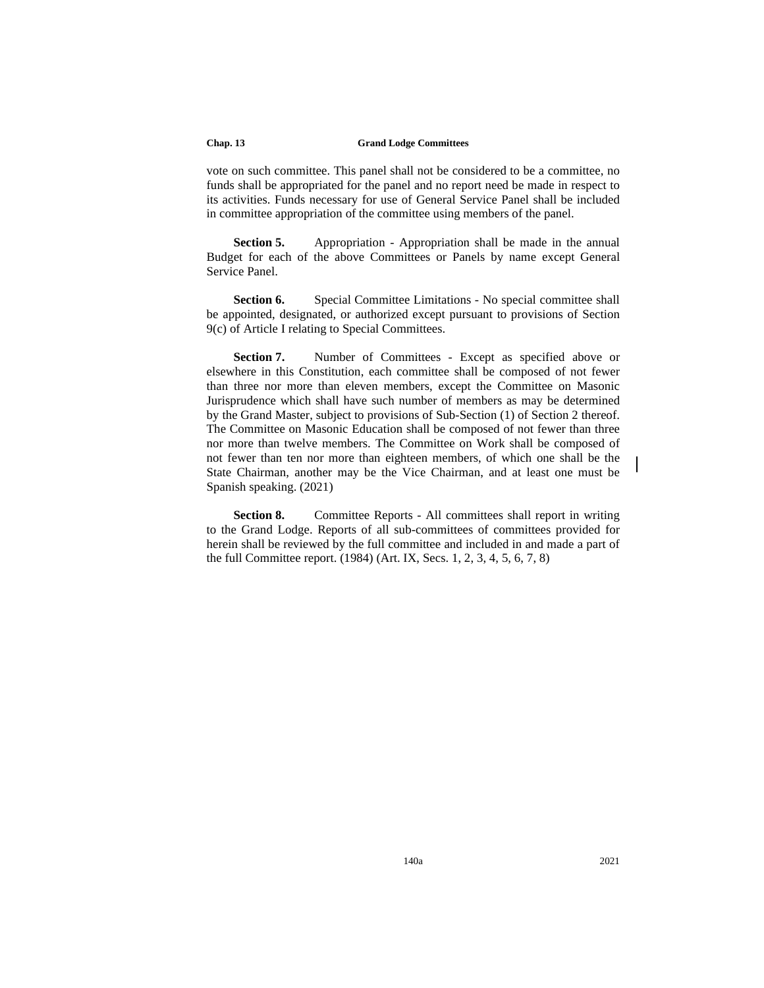## **Chap. 13 Grand Lodge Committees**

vote on such committee. This panel shall not be considered to be a committee, no funds shall be appropriated for the panel and no report need be made in respect to its activities. Funds necessary for use of General Service Panel shall be included in committee appropriation of the committee using members of the panel.

**Section 5.** Appropriation - Appropriation shall be made in the annual Budget for each of the above Committees or Panels by name except General Service Panel.

**Section 6.** Special Committee Limitations - No special committee shall be appointed, designated, or authorized except pursuant to provisions of Section 9(c) of Article I relating to Special Committees.

Section 7. Number of Committees - Except as specified above or elsewhere in this Constitution, each committee shall be composed of not fewer than three nor more than eleven members, except the Committee on Masonic Jurisprudence which shall have such number of members as may be determined by the Grand Master, subject to provisions of Sub-Section (1) of Section 2 thereof. The Committee on Masonic Education shall be composed of not fewer than three nor more than twelve members. The Committee on Work shall be composed of not fewer than ten nor more than eighteen members, of which one shall be the State Chairman, another may be the Vice Chairman, and at least one must be Spanish speaking. (2021)

**Section 8.** Committee Reports - All committees shall report in writing to the Grand Lodge. Reports of all sub-committees of committees provided for herein shall be reviewed by the full committee and included in and made a part of the full Committee report. (1984) (Art. IX, Secs. 1, 2, 3, 4, 5, 6, 7, 8)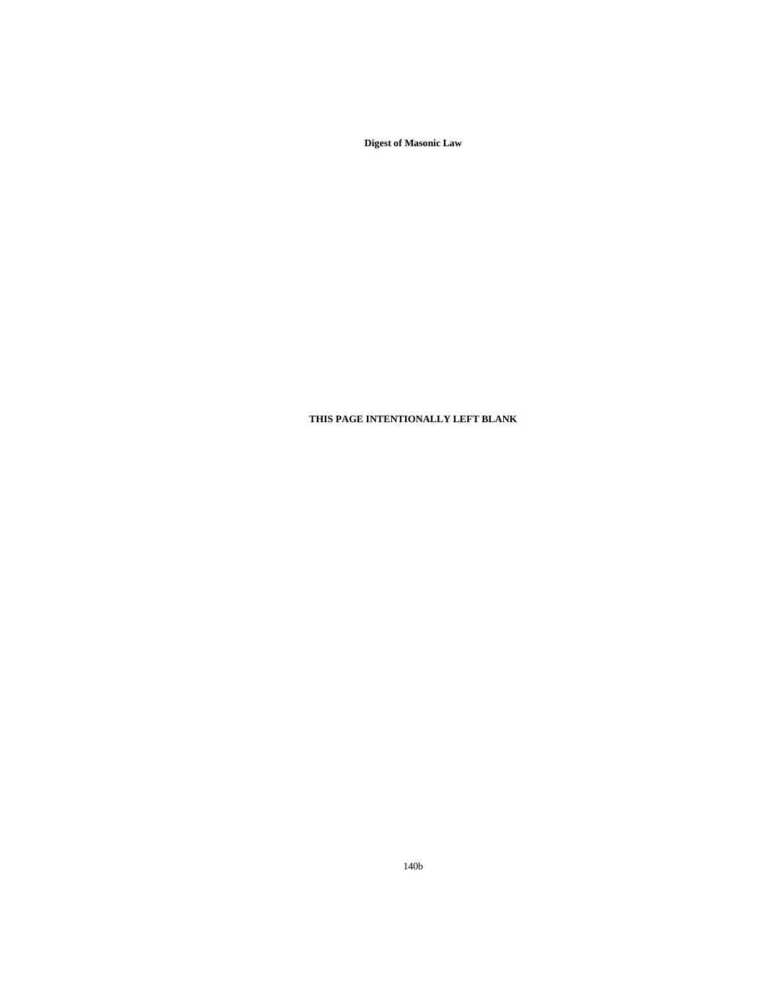**Digest of Masonic Law**

## **THIS PAGE INTENTIONALLY LEFT BLANK**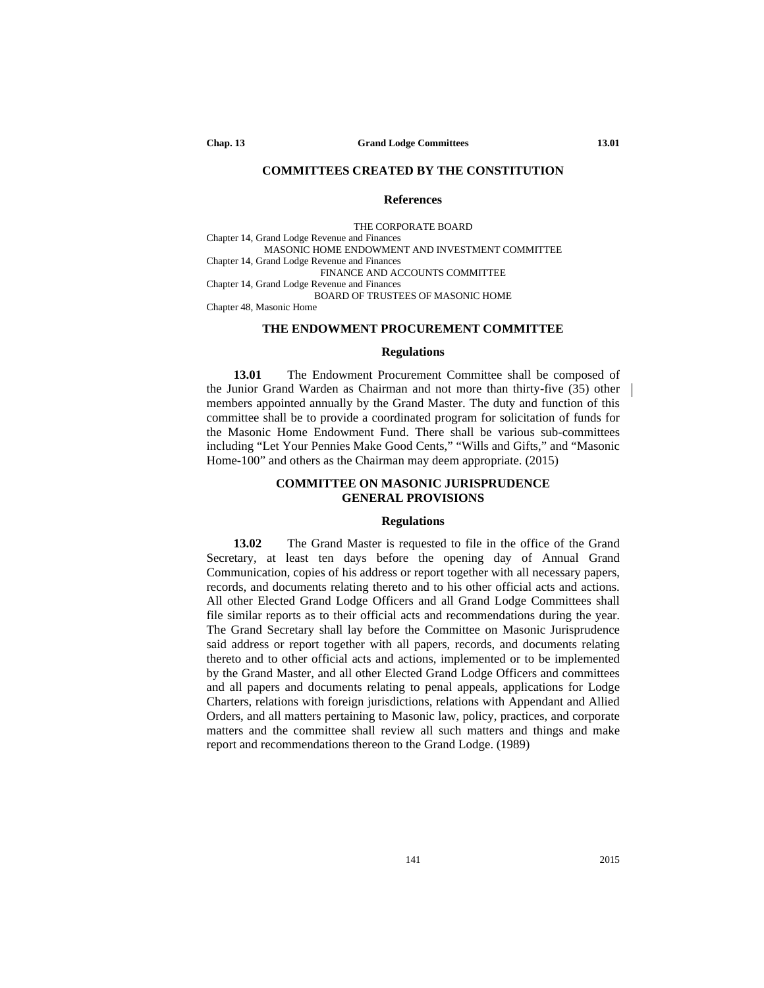## **COMMITTEES CREATED BY THE CONSTITUTION**

#### **References**

THE CORPORATE BOARD

Chapter 14, Grand Lodge Revenue and Finances MASONIC HOME ENDOWMENT AND INVESTMENT COMMITTEE Chapter 14, Grand Lodge Revenue and Finances FINANCE AND ACCOUNTS COMMITTEE Chapter 14, Grand Lodge Revenue and Finances BOARD OF TRUSTEES OF MASONIC HOME Chapter 48, Masonic Home

#### **THE ENDOWMENT PROCUREMENT COMMITTEE**

#### **Regulations**

**13.01** The Endowment Procurement Committee shall be composed of the Junior Grand Warden as Chairman and not more than thirty-five (35) other members appointed annually by the Grand Master. The duty and function of this committee shall be to provide a coordinated program for solicitation of funds for the Masonic Home Endowment Fund. There shall be various sub-committees including "Let Your Pennies Make Good Cents," "Wills and Gifts," and "Masonic Home-100" and others as the Chairman may deem appropriate. (2015)

## **COMMITTEE ON MASONIC JURISPRUDENCE GENERAL PROVISIONS**

#### **Regulations**

**13.02** The Grand Master is requested to file in the office of the Grand Secretary, at least ten days before the opening day of Annual Grand Communication, copies of his address or report together with all necessary papers, records, and documents relating thereto and to his other official acts and actions. All other Elected Grand Lodge Officers and all Grand Lodge Committees shall file similar reports as to their official acts and recommendations during the year. The Grand Secretary shall lay before the Committee on Masonic Jurisprudence said address or report together with all papers, records, and documents relating thereto and to other official acts and actions, implemented or to be implemented by the Grand Master, and all other Elected Grand Lodge Officers and committees and all papers and documents relating to penal appeals, applications for Lodge Charters, relations with foreign jurisdictions, relations with Appendant and Allied Orders, and all matters pertaining to Masonic law, policy, practices, and corporate matters and the committee shall review all such matters and things and make report and recommendations thereon to the Grand Lodge. (1989)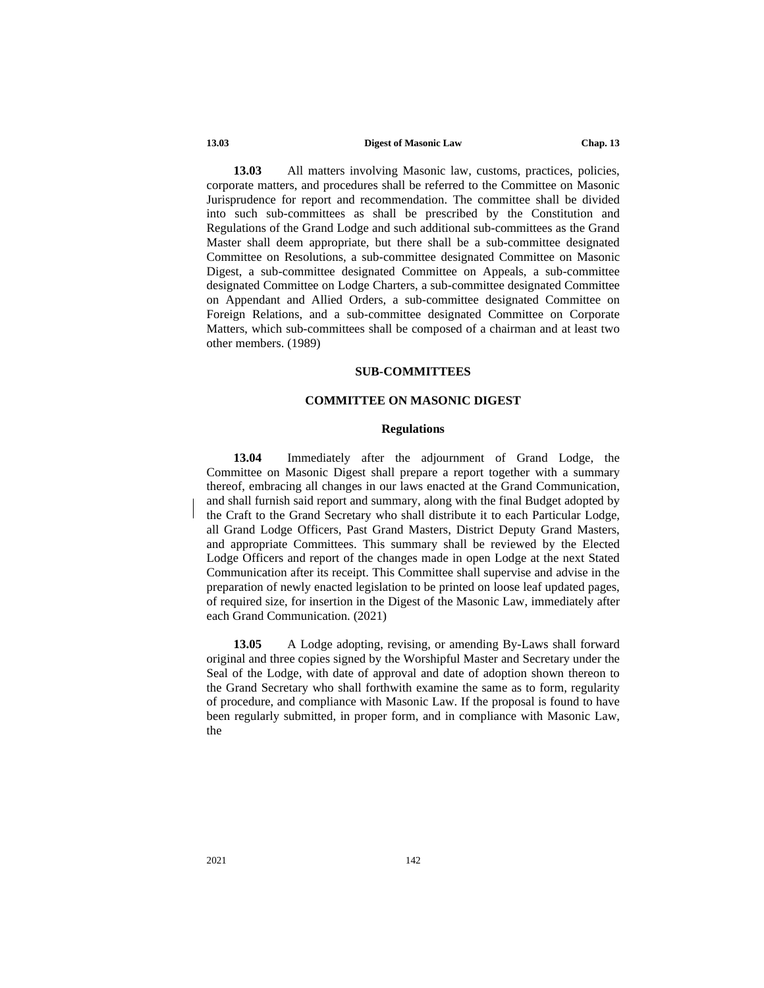**13.03** All matters involving Masonic law, customs, practices, policies, corporate matters, and procedures shall be referred to the Committee on Masonic Jurisprudence for report and recommendation. The committee shall be divided into such sub-committees as shall be prescribed by the Constitution and Regulations of the Grand Lodge and such additional sub-committees as the Grand Master shall deem appropriate, but there shall be a sub-committee designated Committee on Resolutions, a sub-committee designated Committee on Masonic Digest, a sub-committee designated Committee on Appeals, a sub-committee designated Committee on Lodge Charters, a sub-committee designated Committee on Appendant and Allied Orders, a sub-committee designated Committee on Foreign Relations, and a sub-committee designated Committee on Corporate Matters, which sub-committees shall be composed of a chairman and at least two other members. (1989)

#### **SUB-COMMITTEES**

## **COMMITTEE ON MASONIC DIGEST**

### **Regulations**

**13.04** Immediately after the adjournment of Grand Lodge, the Committee on Masonic Digest shall prepare a report together with a summary thereof, embracing all changes in our laws enacted at the Grand Communication, and shall furnish said report and summary, along with the final Budget adopted by the Craft to the Grand Secretary who shall distribute it to each Particular Lodge, all Grand Lodge Officers, Past Grand Masters, District Deputy Grand Masters, and appropriate Committees. This summary shall be reviewed by the Elected Lodge Officers and report of the changes made in open Lodge at the next Stated Communication after its receipt. This Committee shall supervise and advise in the preparation of newly enacted legislation to be printed on loose leaf updated pages, of required size, for insertion in the Digest of the Masonic Law, immediately after each Grand Communication. (2021)

**13.05** A Lodge adopting, revising, or amending By-Laws shall forward original and three copies signed by the Worshipful Master and Secretary under the Seal of the Lodge, with date of approval and date of adoption shown thereon to the Grand Secretary who shall forthwith examine the same as to form, regularity of procedure, and compliance with Masonic Law. If the proposal is found to have been regularly submitted, in proper form, and in compliance with Masonic Law, the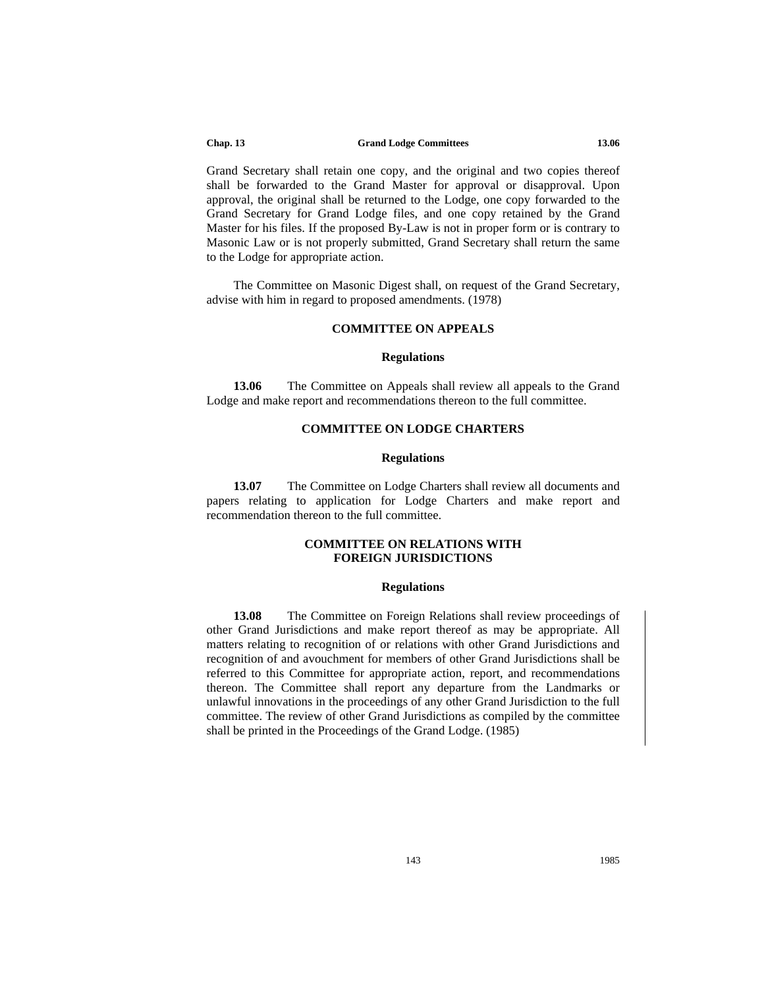Grand Secretary shall retain one copy, and the original and two copies thereof shall be forwarded to the Grand Master for approval or disapproval. Upon approval, the original shall be returned to the Lodge, one copy forwarded to the Grand Secretary for Grand Lodge files, and one copy retained by the Grand Master for his files. If the proposed By-Law is not in proper form or is contrary to Masonic Law or is not properly submitted, Grand Secretary shall return the same to the Lodge for appropriate action.

The Committee on Masonic Digest shall, on request of the Grand Secretary, advise with him in regard to proposed amendments. (1978)

## **COMMITTEE ON APPEALS**

#### **Regulations**

**13.06** The Committee on Appeals shall review all appeals to the Grand Lodge and make report and recommendations thereon to the full committee.

### **COMMITTEE ON LODGE CHARTERS**

## **Regulations**

**13.07** The Committee on Lodge Charters shall review all documents and papers relating to application for Lodge Charters and make report and recommendation thereon to the full committee.

## **COMMITTEE ON RELATIONS WITH FOREIGN JURISDICTIONS**

#### **Regulations**

**13.08** The Committee on Foreign Relations shall review proceedings of other Grand Jurisdictions and make report thereof as may be appropriate. All matters relating to recognition of or relations with other Grand Jurisdictions and recognition of and avouchment for members of other Grand Jurisdictions shall be referred to this Committee for appropriate action, report, and recommendations thereon. The Committee shall report any departure from the Landmarks or unlawful innovations in the proceedings of any other Grand Jurisdiction to the full committee. The review of other Grand Jurisdictions as compiled by the committee shall be printed in the Proceedings of the Grand Lodge. (1985)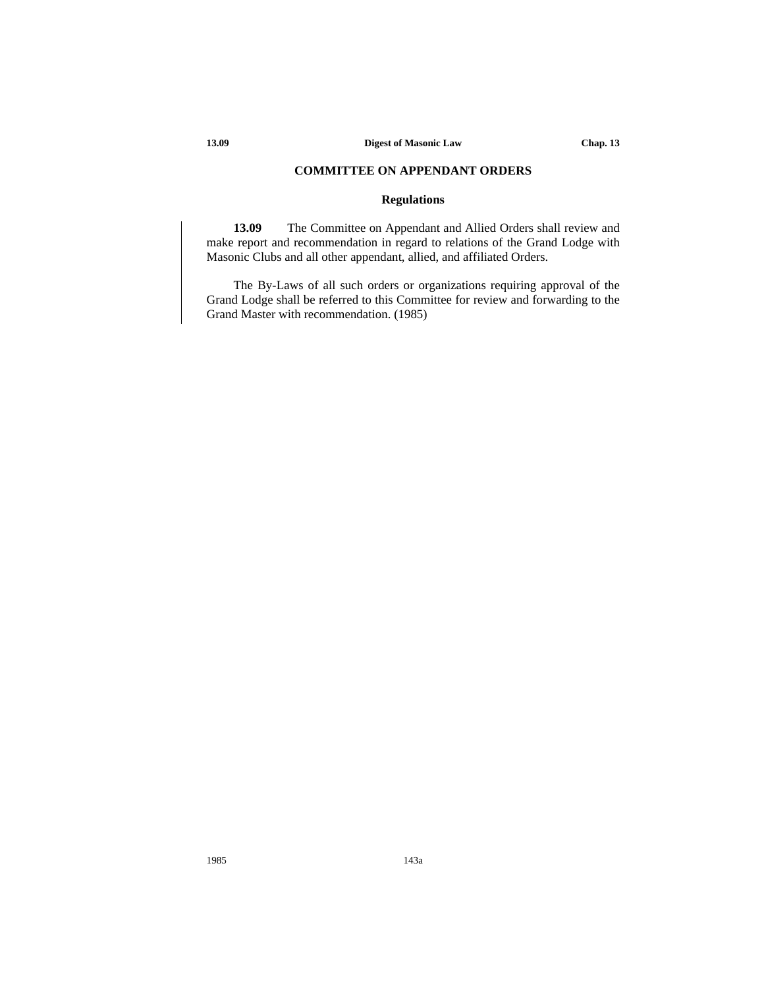## **COMMITTEE ON APPENDANT ORDERS**

## **Regulations**

**13.09** The Committee on Appendant and Allied Orders shall review and make report and recommendation in regard to relations of the Grand Lodge with Masonic Clubs and all other appendant, allied, and affiliated Orders.

The By-Laws of all such orders or organizations requiring approval of the Grand Lodge shall be referred to this Committee for review and forwarding to the Grand Master with recommendation. (1985)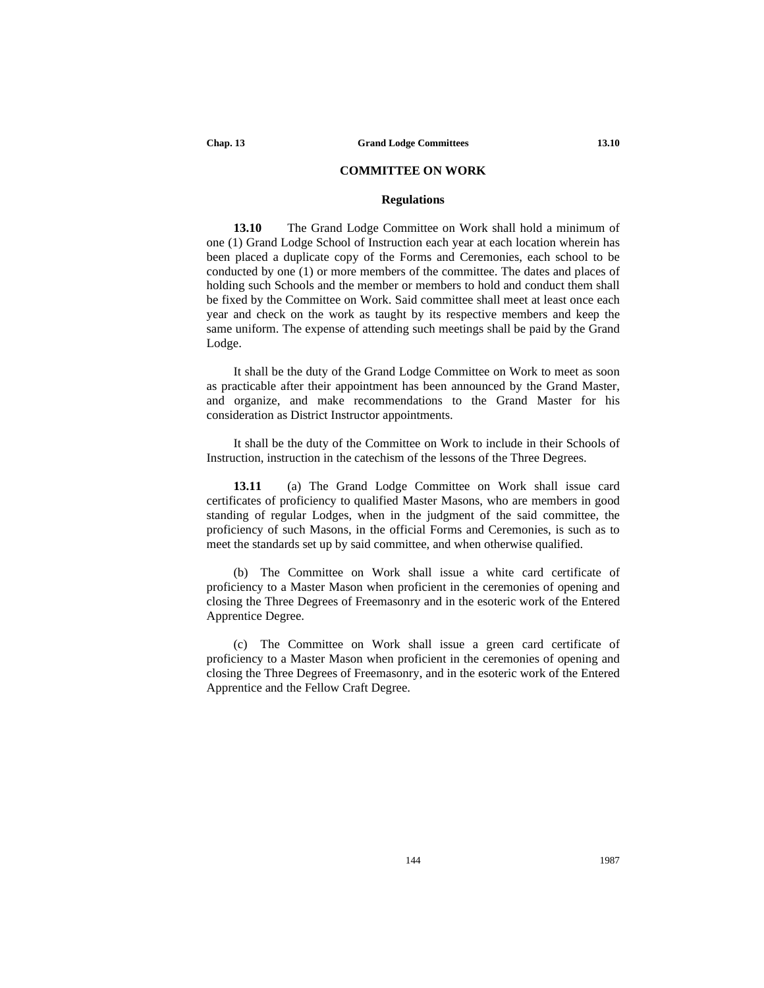#### **COMMITTEE ON WORK**

## **Regulations**

**13.10** The Grand Lodge Committee on Work shall hold a minimum of one (1) Grand Lodge School of Instruction each year at each location wherein has been placed a duplicate copy of the Forms and Ceremonies, each school to be conducted by one (1) or more members of the committee. The dates and places of holding such Schools and the member or members to hold and conduct them shall be fixed by the Committee on Work. Said committee shall meet at least once each year and check on the work as taught by its respective members and keep the same uniform. The expense of attending such meetings shall be paid by the Grand Lodge.

It shall be the duty of the Grand Lodge Committee on Work to meet as soon as practicable after their appointment has been announced by the Grand Master, and organize, and make recommendations to the Grand Master for his consideration as District Instructor appointments.

It shall be the duty of the Committee on Work to include in their Schools of Instruction, instruction in the catechism of the lessons of the Three Degrees.

**13.11** (a) The Grand Lodge Committee on Work shall issue card certificates of proficiency to qualified Master Masons, who are members in good standing of regular Lodges, when in the judgment of the said committee, the proficiency of such Masons, in the official Forms and Ceremonies, is such as to meet the standards set up by said committee, and when otherwise qualified.

(b) The Committee on Work shall issue a white card certificate of proficiency to a Master Mason when proficient in the ceremonies of opening and closing the Three Degrees of Freemasonry and in the esoteric work of the Entered Apprentice Degree.

(c) The Committee on Work shall issue a green card certificate of proficiency to a Master Mason when proficient in the ceremonies of opening and closing the Three Degrees of Freemasonry, and in the esoteric work of the Entered Apprentice and the Fellow Craft Degree.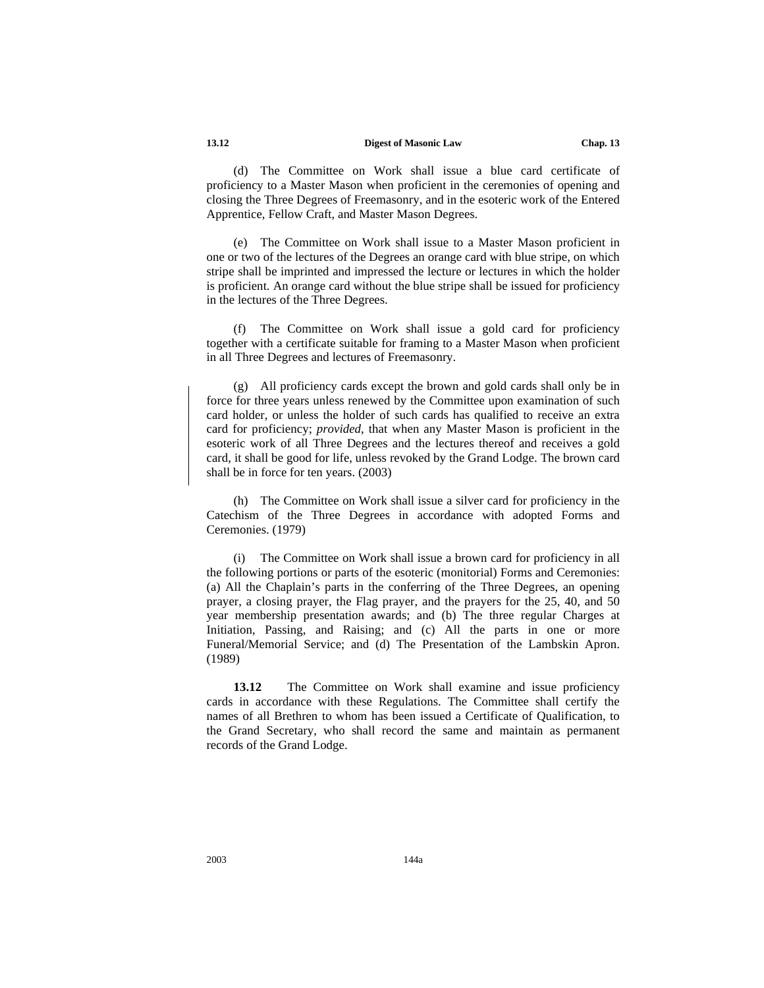(d) The Committee on Work shall issue a blue card certificate of proficiency to a Master Mason when proficient in the ceremonies of opening and closing the Three Degrees of Freemasonry, and in the esoteric work of the Entered Apprentice, Fellow Craft, and Master Mason Degrees.

(e) The Committee on Work shall issue to a Master Mason proficient in one or two of the lectures of the Degrees an orange card with blue stripe, on which stripe shall be imprinted and impressed the lecture or lectures in which the holder is proficient. An orange card without the blue stripe shall be issued for proficiency in the lectures of the Three Degrees.

(f) The Committee on Work shall issue a gold card for proficiency together with a certificate suitable for framing to a Master Mason when proficient in all Three Degrees and lectures of Freemasonry.

(g) All proficiency cards except the brown and gold cards shall only be in force for three years unless renewed by the Committee upon examination of such card holder, or unless the holder of such cards has qualified to receive an extra card for proficiency; *provided*, that when any Master Mason is proficient in the esoteric work of all Three Degrees and the lectures thereof and receives a gold card, it shall be good for life, unless revoked by the Grand Lodge. The brown card shall be in force for ten years. (2003)

(h) The Committee on Work shall issue a silver card for proficiency in the Catechism of the Three Degrees in accordance with adopted Forms and Ceremonies. (1979)

(i) The Committee on Work shall issue a brown card for proficiency in all the following portions or parts of the esoteric (monitorial) Forms and Ceremonies: (a) All the Chaplain's parts in the conferring of the Three Degrees, an opening prayer, a closing prayer, the Flag prayer, and the prayers for the 25, 40, and 50 year membership presentation awards; and (b) The three regular Charges at Initiation, Passing, and Raising; and (c) All the parts in one or more Funeral/Memorial Service; and (d) The Presentation of the Lambskin Apron. (1989)

**13.12** The Committee on Work shall examine and issue proficiency cards in accordance with these Regulations. The Committee shall certify the names of all Brethren to whom has been issued a Certificate of Qualification, to the Grand Secretary, who shall record the same and maintain as permanent records of the Grand Lodge.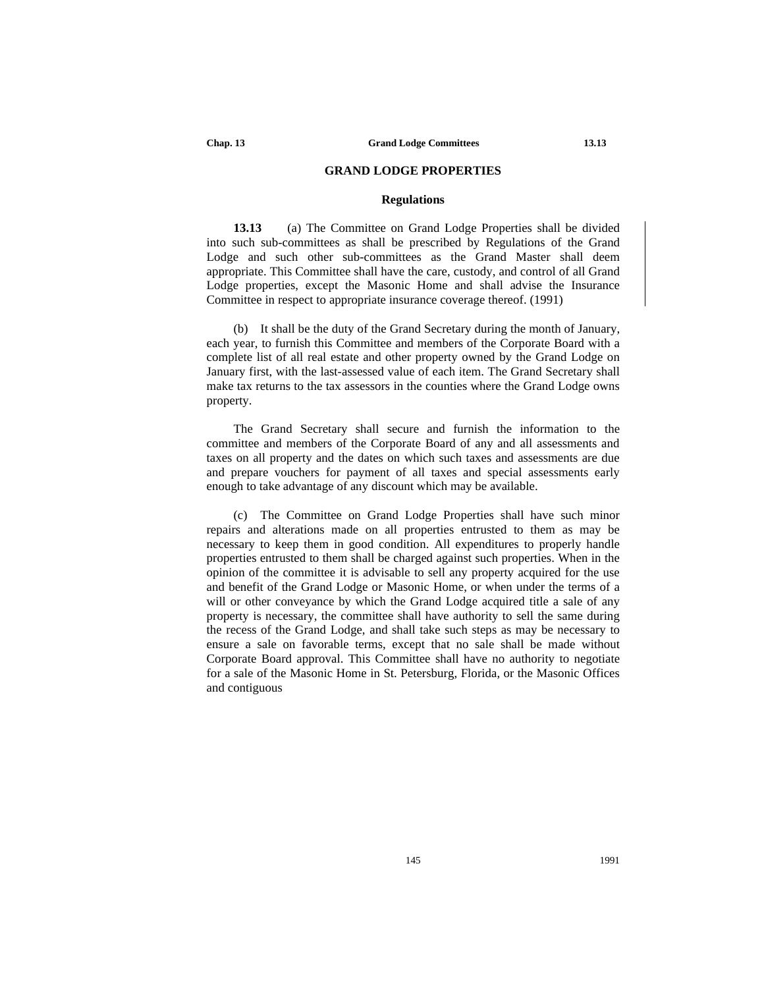#### **GRAND LODGE PROPERTIES**

## **Regulations**

**13.13** (a) The Committee on Grand Lodge Properties shall be divided into such sub-committees as shall be prescribed by Regulations of the Grand Lodge and such other sub-committees as the Grand Master shall deem appropriate. This Committee shall have the care, custody, and control of all Grand Lodge properties, except the Masonic Home and shall advise the Insurance Committee in respect to appropriate insurance coverage thereof. (1991)

(b) It shall be the duty of the Grand Secretary during the month of January, each year, to furnish this Committee and members of the Corporate Board with a complete list of all real estate and other property owned by the Grand Lodge on January first, with the last-assessed value of each item. The Grand Secretary shall make tax returns to the tax assessors in the counties where the Grand Lodge owns property.

The Grand Secretary shall secure and furnish the information to the committee and members of the Corporate Board of any and all assessments and taxes on all property and the dates on which such taxes and assessments are due and prepare vouchers for payment of all taxes and special assessments early enough to take advantage of any discount which may be available.

(c) The Committee on Grand Lodge Properties shall have such minor repairs and alterations made on all properties entrusted to them as may be necessary to keep them in good condition. All expenditures to properly handle properties entrusted to them shall be charged against such properties. When in the opinion of the committee it is advisable to sell any property acquired for the use and benefit of the Grand Lodge or Masonic Home, or when under the terms of a will or other conveyance by which the Grand Lodge acquired title a sale of any property is necessary, the committee shall have authority to sell the same during the recess of the Grand Lodge, and shall take such steps as may be necessary to ensure a sale on favorable terms, except that no sale shall be made without Corporate Board approval. This Committee shall have no authority to negotiate for a sale of the Masonic Home in St. Petersburg, Florida, or the Masonic Offices and contiguous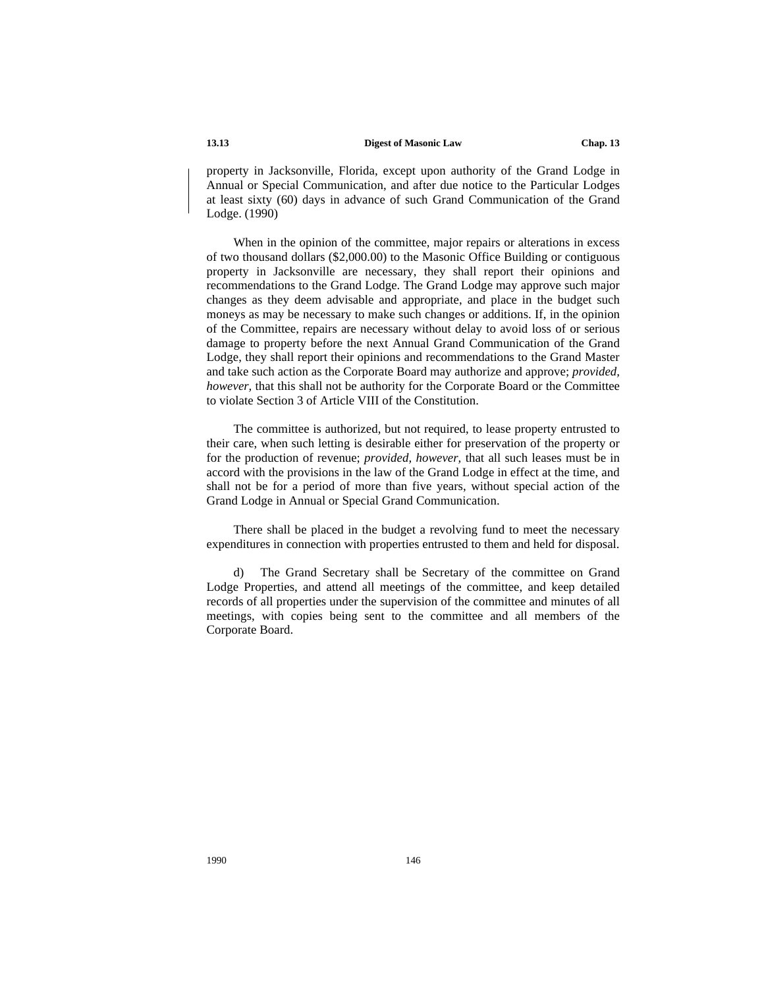property in Jacksonville, Florida, except upon authority of the Grand Lodge in Annual or Special Communication, and after due notice to the Particular Lodges at least sixty (60) days in advance of such Grand Communication of the Grand Lodge. (1990)

When in the opinion of the committee, major repairs or alterations in excess of two thousand dollars (\$2,000.00) to the Masonic Office Building or contiguous property in Jacksonville are necessary, they shall report their opinions and recommendations to the Grand Lodge. The Grand Lodge may approve such major changes as they deem advisable and appropriate, and place in the budget such moneys as may be necessary to make such changes or additions. If, in the opinion of the Committee, repairs are necessary without delay to avoid loss of or serious damage to property before the next Annual Grand Communication of the Grand Lodge, they shall report their opinions and recommendations to the Grand Master and take such action as the Corporate Board may authorize and approve; *provided, however,* that this shall not be authority for the Corporate Board or the Committee to violate Section 3 of Article VIII of the Constitution.

The committee is authorized, but not required, to lease property entrusted to their care, when such letting is desirable either for preservation of the property or for the production of revenue; *provided, however,* that all such leases must be in accord with the provisions in the law of the Grand Lodge in effect at the time, and shall not be for a period of more than five years, without special action of the Grand Lodge in Annual or Special Grand Communication.

There shall be placed in the budget a revolving fund to meet the necessary expenditures in connection with properties entrusted to them and held for disposal.

The Grand Secretary shall be Secretary of the committee on Grand Lodge Properties, and attend all meetings of the committee, and keep detailed records of all properties under the supervision of the committee and minutes of all meetings, with copies being sent to the committee and all members of the Corporate Board.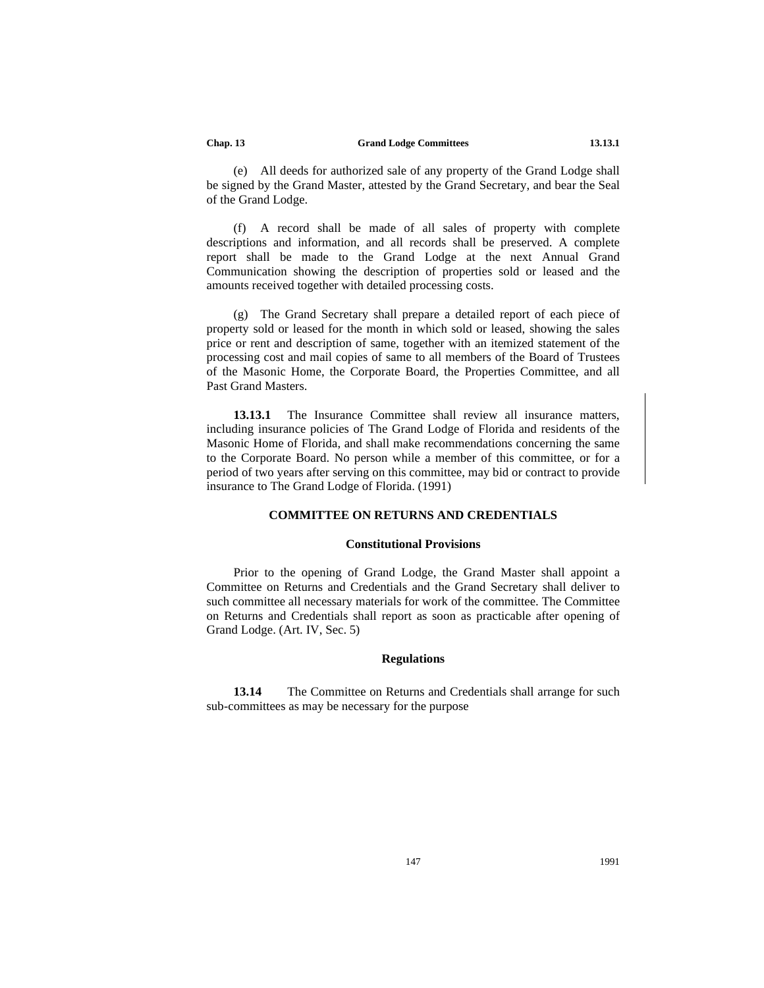(e) All deeds for authorized sale of any property of the Grand Lodge shall be signed by the Grand Master, attested by the Grand Secretary, and bear the Seal of the Grand Lodge.

(f) A record shall be made of all sales of property with complete descriptions and information, and all records shall be preserved. A complete report shall be made to the Grand Lodge at the next Annual Grand Communication showing the description of properties sold or leased and the amounts received together with detailed processing costs.

(g) The Grand Secretary shall prepare a detailed report of each piece of property sold or leased for the month in which sold or leased, showing the sales price or rent and description of same, together with an itemized statement of the processing cost and mail copies of same to all members of the Board of Trustees of the Masonic Home, the Corporate Board, the Properties Committee, and all Past Grand Masters.

**13.13.1** The Insurance Committee shall review all insurance matters, including insurance policies of The Grand Lodge of Florida and residents of the Masonic Home of Florida, and shall make recommendations concerning the same to the Corporate Board. No person while a member of this committee, or for a period of two years after serving on this committee, may bid or contract to provide insurance to The Grand Lodge of Florida. (1991)

## **COMMITTEE ON RETURNS AND CREDENTIALS**

#### **Constitutional Provisions**

Prior to the opening of Grand Lodge, the Grand Master shall appoint a Committee on Returns and Credentials and the Grand Secretary shall deliver to such committee all necessary materials for work of the committee. The Committee on Returns and Credentials shall report as soon as practicable after opening of Grand Lodge. (Art. IV, Sec. 5)

#### **Regulations**

13.14 The Committee on Returns and Credentials shall arrange for such sub-committees as may be necessary for the purpose

147 1991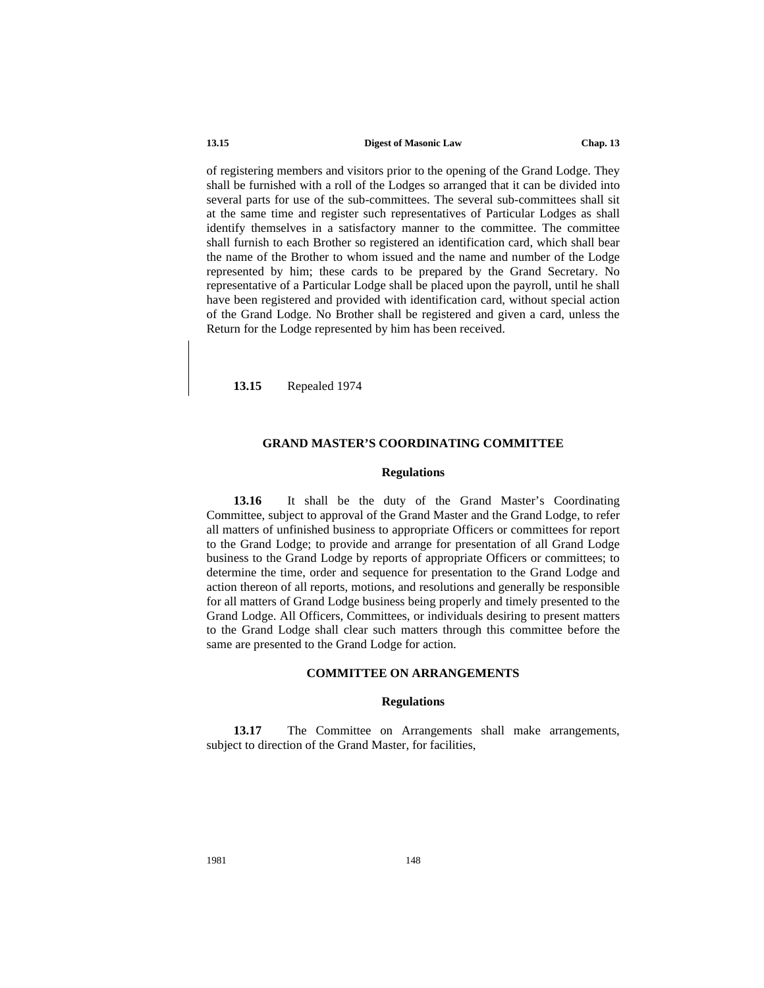of registering members and visitors prior to the opening of the Grand Lodge. They shall be furnished with a roll of the Lodges so arranged that it can be divided into several parts for use of the sub-committees. The several sub-committees shall sit at the same time and register such representatives of Particular Lodges as shall identify themselves in a satisfactory manner to the committee. The committee shall furnish to each Brother so registered an identification card, which shall bear the name of the Brother to whom issued and the name and number of the Lodge represented by him; these cards to be prepared by the Grand Secretary. No representative of a Particular Lodge shall be placed upon the payroll, until he shall have been registered and provided with identification card, without special action of the Grand Lodge. No Brother shall be registered and given a card, unless the Return for the Lodge represented by him has been received.

**13.15** Repealed 1974

## **GRAND MASTER'S COORDINATING COMMITTEE**

#### **Regulations**

**13.16** It shall be the duty of the Grand Master's Coordinating Committee, subject to approval of the Grand Master and the Grand Lodge, to refer all matters of unfinished business to appropriate Officers or committees for report to the Grand Lodge; to provide and arrange for presentation of all Grand Lodge business to the Grand Lodge by reports of appropriate Officers or committees; to determine the time, order and sequence for presentation to the Grand Lodge and action thereon of all reports, motions, and resolutions and generally be responsible for all matters of Grand Lodge business being properly and timely presented to the Grand Lodge. All Officers, Committees, or individuals desiring to present matters to the Grand Lodge shall clear such matters through this committee before the same are presented to the Grand Lodge for action.

## **COMMITTEE ON ARRANGEMENTS**

#### **Regulations**

**13.17** The Committee on Arrangements shall make arrangements, subject to direction of the Grand Master, for facilities,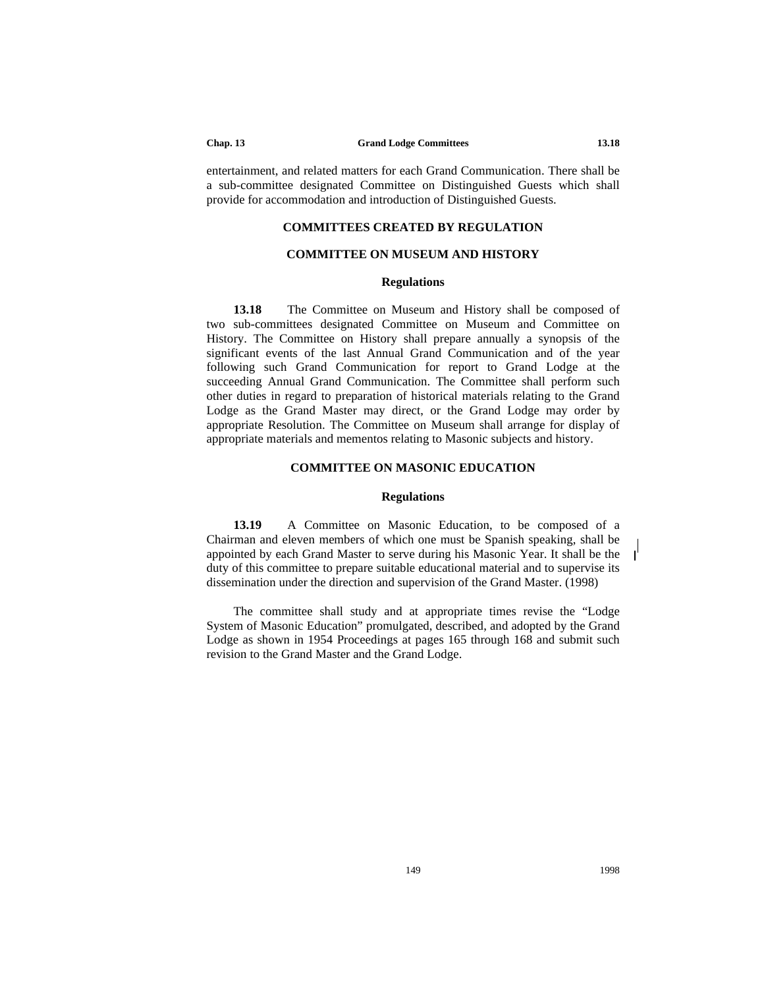entertainment, and related matters for each Grand Communication. There shall be a sub-committee designated Committee on Distinguished Guests which shall provide for accommodation and introduction of Distinguished Guests.

## **COMMITTEES CREATED BY REGULATION**

## **COMMITTEE ON MUSEUM AND HISTORY**

## **Regulations**

**13.18** The Committee on Museum and History shall be composed of two sub-committees designated Committee on Museum and Committee on History. The Committee on History shall prepare annually a synopsis of the significant events of the last Annual Grand Communication and of the year following such Grand Communication for report to Grand Lodge at the succeeding Annual Grand Communication. The Committee shall perform such other duties in regard to preparation of historical materials relating to the Grand Lodge as the Grand Master may direct, or the Grand Lodge may order by appropriate Resolution. The Committee on Museum shall arrange for display of appropriate materials and mementos relating to Masonic subjects and history.

## **COMMITTEE ON MASONIC EDUCATION**

#### **Regulations**

**13.19** A Committee on Masonic Education, to be composed of a Chairman and eleven members of which one must be Spanish speaking, shall be appointed by each Grand Master to serve during his Masonic Year. It shall be the  $\mathbf{I}$ duty of this committee to prepare suitable educational material and to supervise its dissemination under the direction and supervision of the Grand Master. (1998)

The committee shall study and at appropriate times revise the "Lodge System of Masonic Education" promulgated, described, and adopted by the Grand Lodge as shown in 1954 Proceedings at pages 165 through 168 and submit such revision to the Grand Master and the Grand Lodge.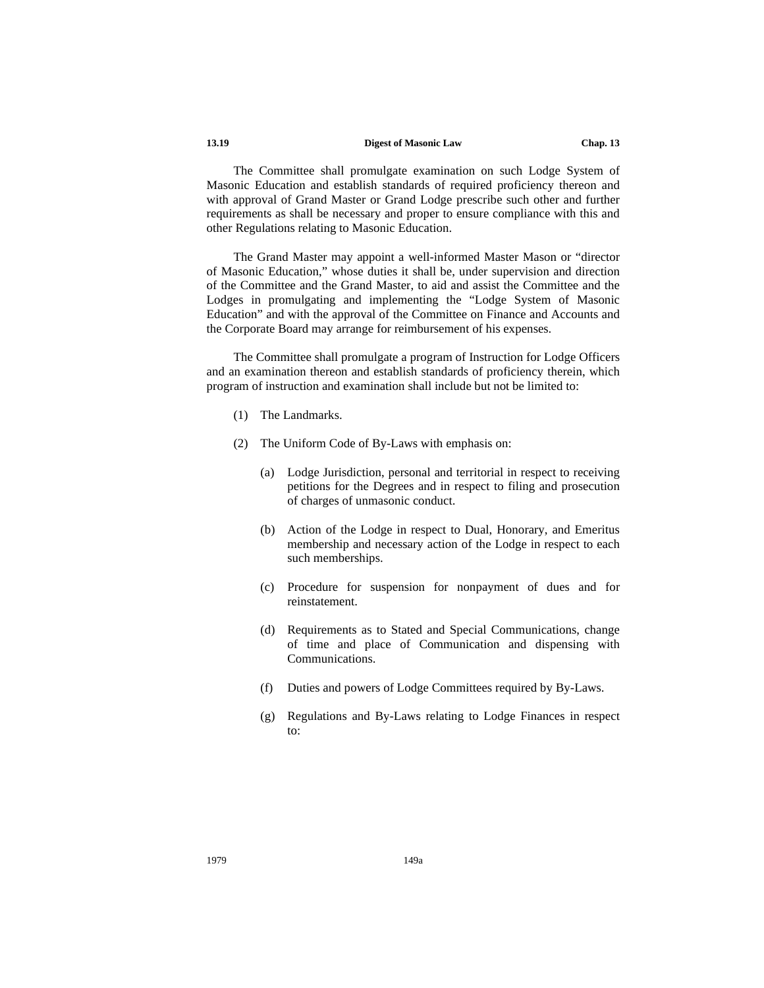The Committee shall promulgate examination on such Lodge System of Masonic Education and establish standards of required proficiency thereon and with approval of Grand Master or Grand Lodge prescribe such other and further requirements as shall be necessary and proper to ensure compliance with this and other Regulations relating to Masonic Education.

The Grand Master may appoint a well-informed Master Mason or "director of Masonic Education," whose duties it shall be, under supervision and direction of the Committee and the Grand Master, to aid and assist the Committee and the Lodges in promulgating and implementing the "Lodge System of Masonic Education" and with the approval of the Committee on Finance and Accounts and the Corporate Board may arrange for reimbursement of his expenses.

The Committee shall promulgate a program of Instruction for Lodge Officers and an examination thereon and establish standards of proficiency therein, which program of instruction and examination shall include but not be limited to:

- (1) The Landmarks.
- (2) The Uniform Code of By-Laws with emphasis on:
	- (a) Lodge Jurisdiction, personal and territorial in respect to receiving petitions for the Degrees and in respect to filing and prosecution of charges of unmasonic conduct.
	- (b) Action of the Lodge in respect to Dual, Honorary, and Emeritus membership and necessary action of the Lodge in respect to each such memberships.
	- (c) Procedure for suspension for nonpayment of dues and for reinstatement.
	- (d) Requirements as to Stated and Special Communications, change of time and place of Communication and dispensing with Communications.
	- (f) Duties and powers of Lodge Committees required by By-Laws.
	- (g) Regulations and By-Laws relating to Lodge Finances in respect to: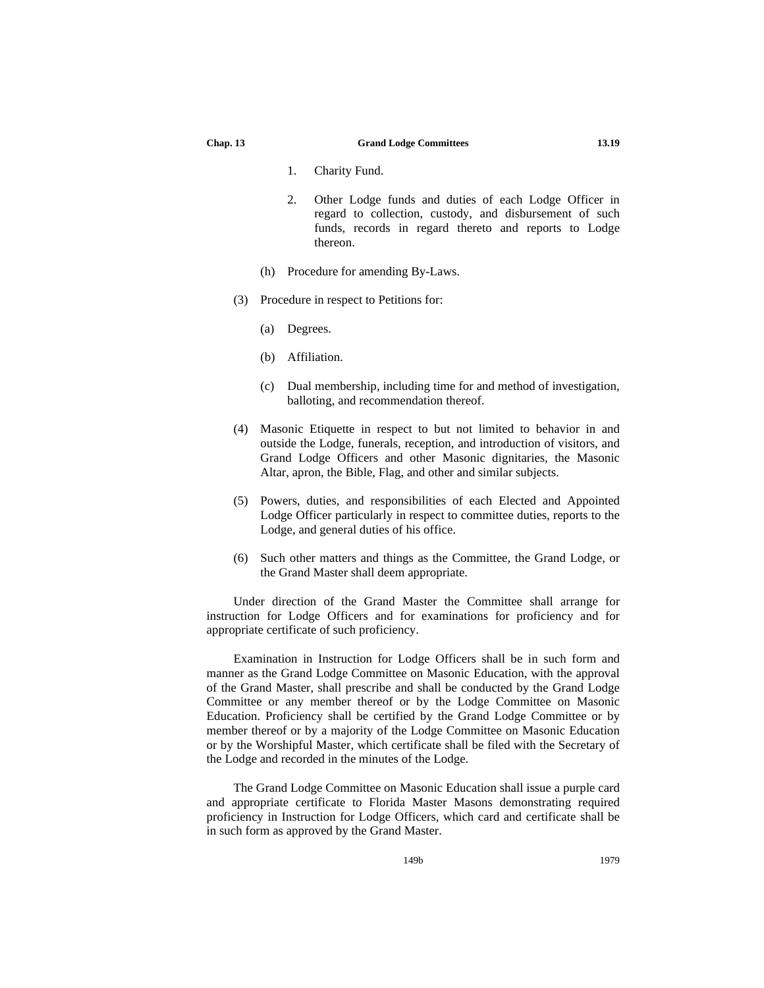- 1. Charity Fund.
- 2. Other Lodge funds and duties of each Lodge Officer in regard to collection, custody, and disbursement of such funds, records in regard thereto and reports to Lodge thereon.
- (h) Procedure for amending By-Laws.
- (3) Procedure in respect to Petitions for:
	- (a) Degrees.
	- (b) Affiliation.
	- (c) Dual membership, including time for and method of investigation, balloting, and recommendation thereof.
- (4) Masonic Etiquette in respect to but not limited to behavior in and outside the Lodge, funerals, reception, and introduction of visitors, and Grand Lodge Officers and other Masonic dignitaries, the Masonic Altar, apron, the Bible, Flag, and other and similar subjects.
- (5) Powers, duties, and responsibilities of each Elected and Appointed Lodge Officer particularly in respect to committee duties, reports to the Lodge, and general duties of his office.
- (6) Such other matters and things as the Committee, the Grand Lodge, or the Grand Master shall deem appropriate.

Under direction of the Grand Master the Committee shall arrange for instruction for Lodge Officers and for examinations for proficiency and for appropriate certificate of such proficiency.

Examination in Instruction for Lodge Officers shall be in such form and manner as the Grand Lodge Committee on Masonic Education, with the approval of the Grand Master, shall prescribe and shall be conducted by the Grand Lodge Committee or any member thereof or by the Lodge Committee on Masonic Education. Proficiency shall be certified by the Grand Lodge Committee or by member thereof or by a majority of the Lodge Committee on Masonic Education or by the Worshipful Master, which certificate shall be filed with the Secretary of the Lodge and recorded in the minutes of the Lodge.

The Grand Lodge Committee on Masonic Education shall issue a purple card and appropriate certificate to Florida Master Masons demonstrating required proficiency in Instruction for Lodge Officers, which card and certificate shall be in such form as approved by the Grand Master.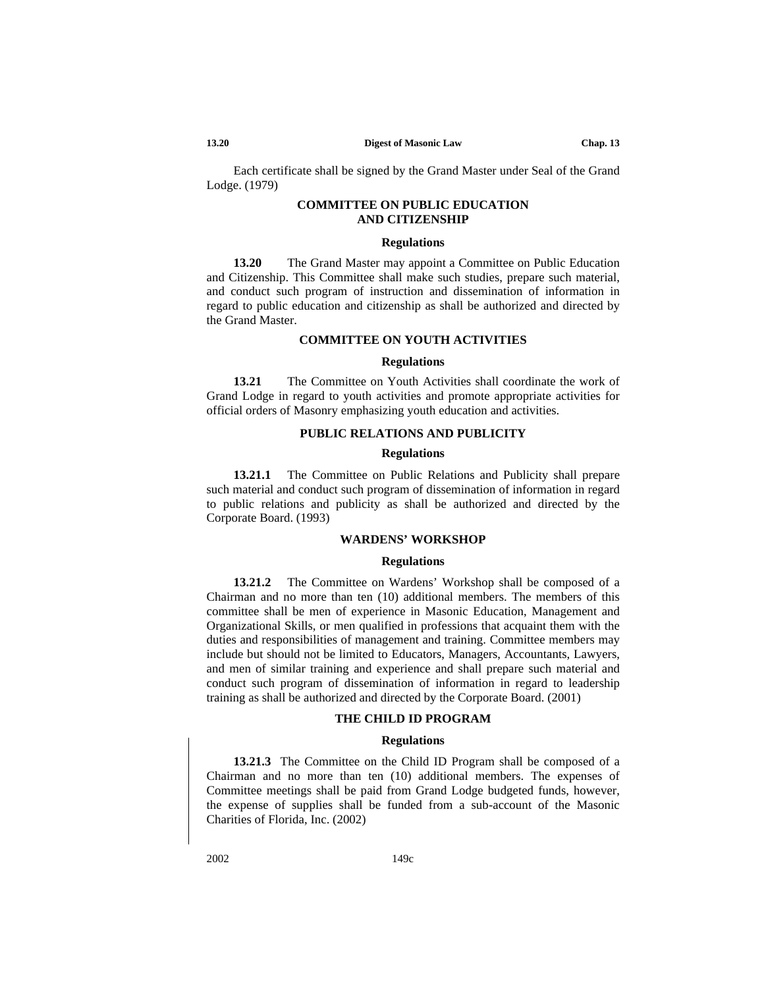Each certificate shall be signed by the Grand Master under Seal of the Grand Lodge. (1979)

## **COMMITTEE ON PUBLIC EDUCATION AND CITIZENSHIP**

#### **Regulations**

**13.20** The Grand Master may appoint a Committee on Public Education and Citizenship. This Committee shall make such studies, prepare such material, and conduct such program of instruction and dissemination of information in regard to public education and citizenship as shall be authorized and directed by the Grand Master.

## **COMMITTEE ON YOUTH ACTIVITIES**

#### **Regulations**

**13.21** The Committee on Youth Activities shall coordinate the work of Grand Lodge in regard to youth activities and promote appropriate activities for official orders of Masonry emphasizing youth education and activities.

## **PUBLIC RELATIONS AND PUBLICITY**

## **Regulations**

**13.21.1** The Committee on Public Relations and Publicity shall prepare such material and conduct such program of dissemination of information in regard to public relations and publicity as shall be authorized and directed by the Corporate Board. (1993)

#### **WARDENS' WORKSHOP**

#### **Regulations**

**13.21.2** The Committee on Wardens' Workshop shall be composed of a Chairman and no more than ten (10) additional members. The members of this committee shall be men of experience in Masonic Education, Management and Organizational Skills, or men qualified in professions that acquaint them with the duties and responsibilities of management and training. Committee members may include but should not be limited to Educators, Managers, Accountants, Lawyers, and men of similar training and experience and shall prepare such material and conduct such program of dissemination of information in regard to leadership training as shall be authorized and directed by the Corporate Board. (2001)

## **THE CHILD ID PROGRAM**

## **Regulations**

**13.21.3** The Committee on the Child ID Program shall be composed of a Chairman and no more than ten (10) additional members. The expenses of Committee meetings shall be paid from Grand Lodge budgeted funds, however, the expense of supplies shall be funded from a sub-account of the Masonic Charities of Florida, Inc. (2002)

2002 149c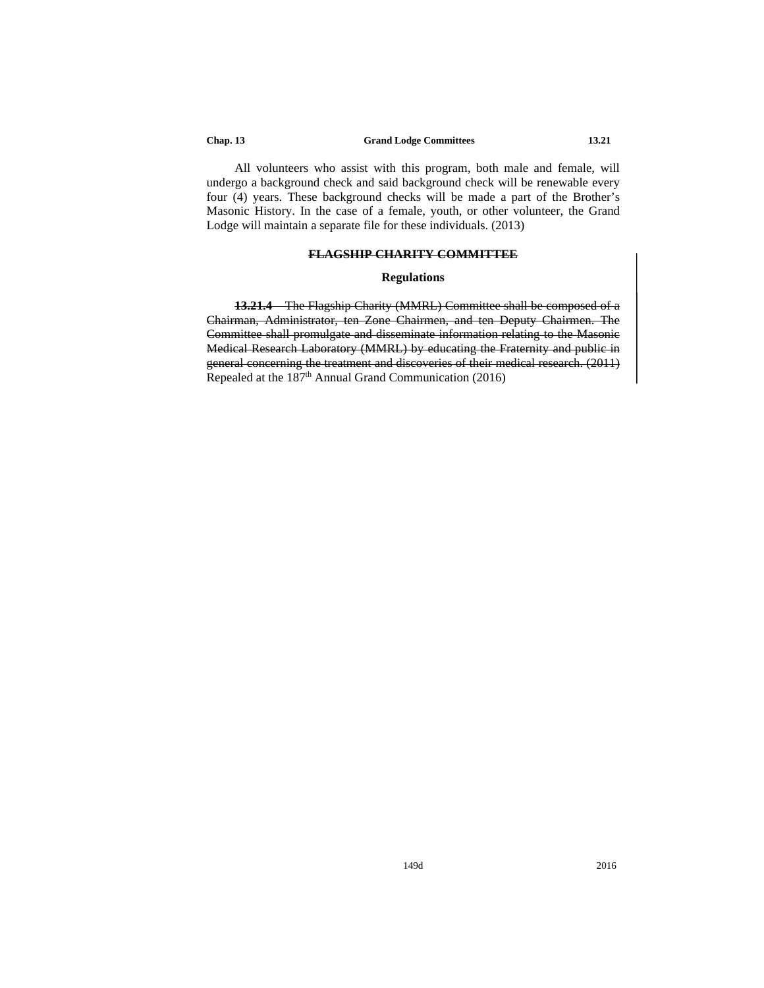## **Chap. 13 Grand Lodge Committees 13.21**

All volunteers who assist with this program, both male and female, will undergo a background check and said background check will be renewable every four (4) years. These background checks will be made a part of the Brother's Masonic History. In the case of a female, youth, or other volunteer, the Grand Lodge will maintain a separate file for these individuals. (2013)

## **FLAGSHIP CHARITY COMMITTEE**

## **Regulations**

**13.21.4** The Flagship Charity (MMRL) Committee shall be composed of a Chairman, Administrator, ten Zone Chairmen, and ten Deputy Chairmen. The Committee shall promulgate and disseminate information relating to the Masonic Medical Research Laboratory (MMRL) by educating the Fraternity and public in general concerning the treatment and discoveries of their medical research. (2011) Repealed at the 187<sup>th</sup> Annual Grand Communication (2016)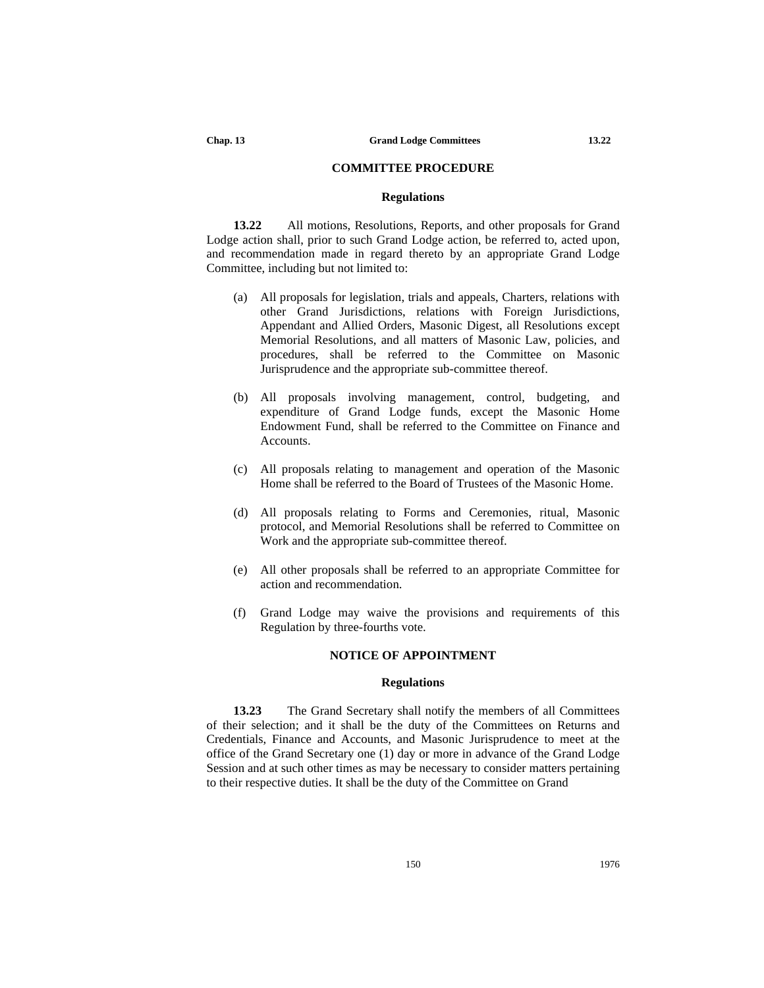#### **COMMITTEE PROCEDURE**

#### **Regulations**

**13.22** All motions, Resolutions, Reports, and other proposals for Grand Lodge action shall, prior to such Grand Lodge action, be referred to, acted upon, and recommendation made in regard thereto by an appropriate Grand Lodge Committee, including but not limited to:

- (a) All proposals for legislation, trials and appeals, Charters, relations with other Grand Jurisdictions, relations with Foreign Jurisdictions, Appendant and Allied Orders, Masonic Digest, all Resolutions except Memorial Resolutions, and all matters of Masonic Law, policies, and procedures, shall be referred to the Committee on Masonic Jurisprudence and the appropriate sub-committee thereof.
- (b) All proposals involving management, control, budgeting, and expenditure of Grand Lodge funds, except the Masonic Home Endowment Fund, shall be referred to the Committee on Finance and **Accounts**
- (c) All proposals relating to management and operation of the Masonic Home shall be referred to the Board of Trustees of the Masonic Home.
- (d) All proposals relating to Forms and Ceremonies, ritual, Masonic protocol, and Memorial Resolutions shall be referred to Committee on Work and the appropriate sub-committee thereof.
- (e) All other proposals shall be referred to an appropriate Committee for action and recommendation.
- (f) Grand Lodge may waive the provisions and requirements of this Regulation by three-fourths vote.

#### **NOTICE OF APPOINTMENT**

## **Regulations**

**13.23** The Grand Secretary shall notify the members of all Committees of their selection; and it shall be the duty of the Committees on Returns and Credentials, Finance and Accounts, and Masonic Jurisprudence to meet at the office of the Grand Secretary one (1) day or more in advance of the Grand Lodge Session and at such other times as may be necessary to consider matters pertaining to their respective duties. It shall be the duty of the Committee on Grand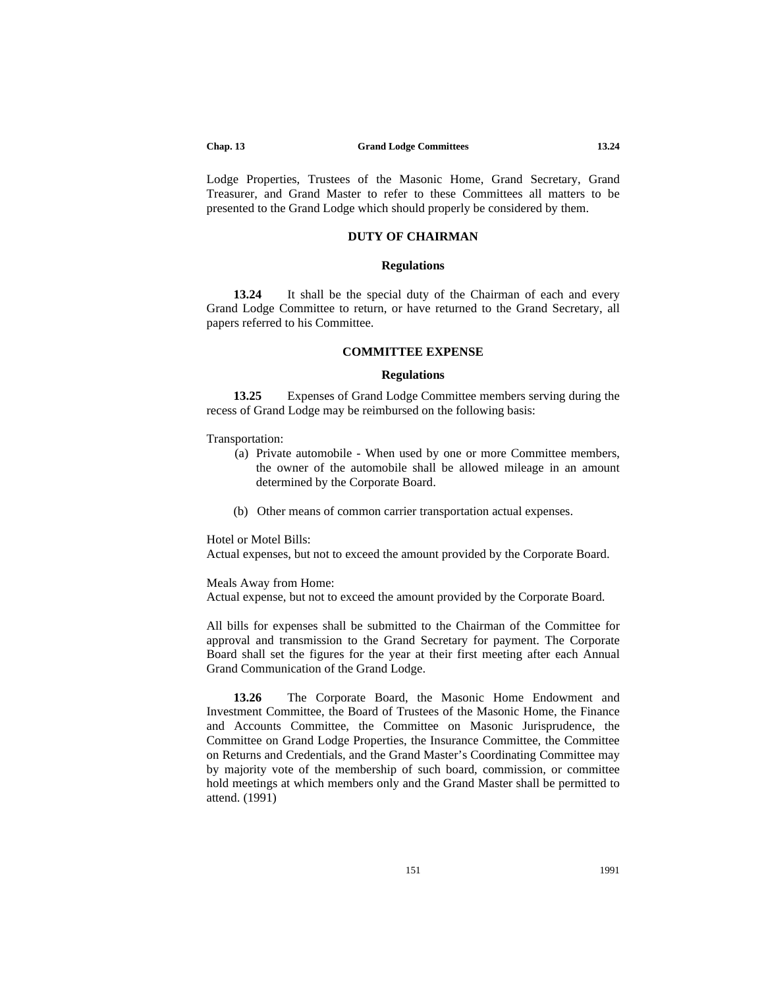Lodge Properties, Trustees of the Masonic Home, Grand Secretary, Grand Treasurer, and Grand Master to refer to these Committees all matters to be presented to the Grand Lodge which should properly be considered by them.

## **DUTY OF CHAIRMAN**

#### **Regulations**

**13.24** It shall be the special duty of the Chairman of each and every Grand Lodge Committee to return, or have returned to the Grand Secretary, all papers referred to his Committee.

## **COMMITTEE EXPENSE**

#### **Regulations**

**13.25** Expenses of Grand Lodge Committee members serving during the recess of Grand Lodge may be reimbursed on the following basis:

#### Transportation:

- (a) Private automobile When used by one or more Committee members, the owner of the automobile shall be allowed mileage in an amount determined by the Corporate Board.
- (b) Other means of common carrier transportation actual expenses.

Hotel or Motel Bills:

Actual expenses, but not to exceed the amount provided by the Corporate Board.

#### Meals Away from Home:

Actual expense, but not to exceed the amount provided by the Corporate Board.

All bills for expenses shall be submitted to the Chairman of the Committee for approval and transmission to the Grand Secretary for payment. The Corporate Board shall set the figures for the year at their first meeting after each Annual Grand Communication of the Grand Lodge.

**13.26** The Corporate Board, the Masonic Home Endowment and Investment Committee, the Board of Trustees of the Masonic Home, the Finance and Accounts Committee, the Committee on Masonic Jurisprudence, the Committee on Grand Lodge Properties, the Insurance Committee, the Committee on Returns and Credentials, and the Grand Master's Coordinating Committee may by majority vote of the membership of such board, commission, or committee hold meetings at which members only and the Grand Master shall be permitted to attend. (1991)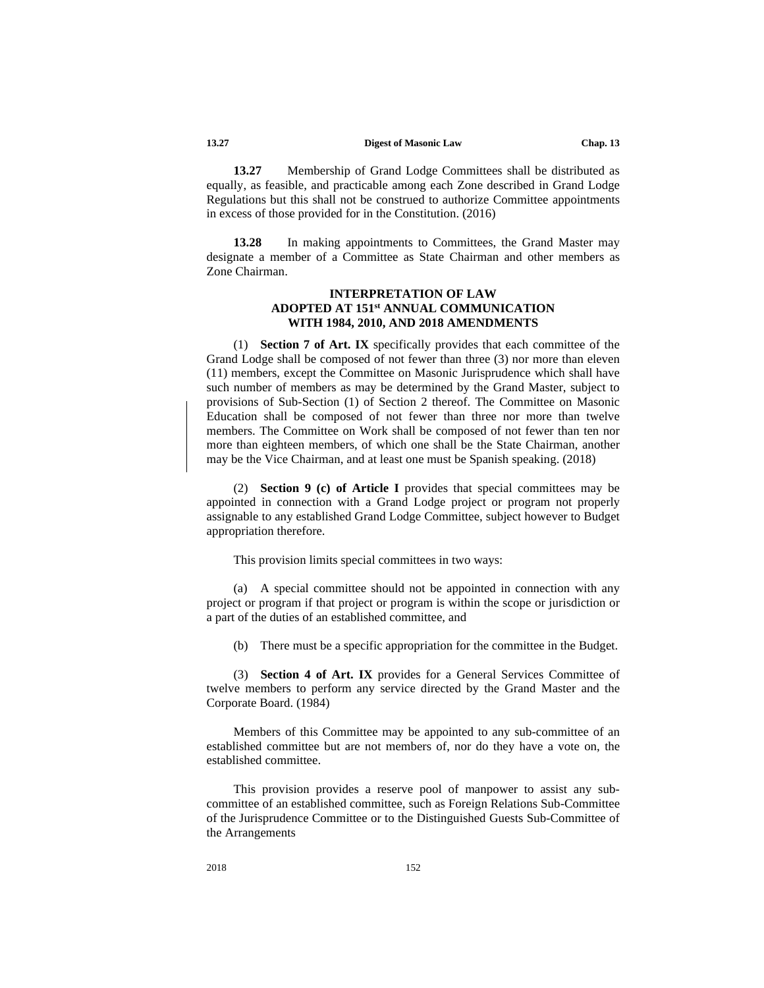**13.27** Membership of Grand Lodge Committees shall be distributed as equally, as feasible, and practicable among each Zone described in Grand Lodge Regulations but this shall not be construed to authorize Committee appointments in excess of those provided for in the Constitution. (2016)

**13.28** In making appointments to Committees, the Grand Master may designate a member of a Committee as State Chairman and other members as Zone Chairman.

## **INTERPRETATION OF LAW ADOPTED AT 151st ANNUAL COMMUNICATION WITH 1984, 2010, AND 2018 AMENDMENTS**

(1) **Section 7 of Art. IX** specifically provides that each committee of the Grand Lodge shall be composed of not fewer than three (3) nor more than eleven (11) members, except the Committee on Masonic Jurisprudence which shall have such number of members as may be determined by the Grand Master, subject to provisions of Sub-Section (1) of Section 2 thereof. The Committee on Masonic Education shall be composed of not fewer than three nor more than twelve members. The Committee on Work shall be composed of not fewer than ten nor more than eighteen members, of which one shall be the State Chairman, another may be the Vice Chairman, and at least one must be Spanish speaking. (2018)

(2) **Section 9 (c) of Article I** provides that special committees may be appointed in connection with a Grand Lodge project or program not properly assignable to any established Grand Lodge Committee, subject however to Budget appropriation therefore.

This provision limits special committees in two ways:

(a) A special committee should not be appointed in connection with any project or program if that project or program is within the scope or jurisdiction or a part of the duties of an established committee, and

(b) There must be a specific appropriation for the committee in the Budget.

(3) **Section 4 of Art. IX** provides for a General Services Committee of twelve members to perform any service directed by the Grand Master and the Corporate Board. (1984)

Members of this Committee may be appointed to any sub-committee of an established committee but are not members of, nor do they have a vote on, the established committee.

This provision provides a reserve pool of manpower to assist any subcommittee of an established committee, such as Foreign Relations Sub-Committee of the Jurisprudence Committee or to the Distinguished Guests Sub-Committee of the Arrangements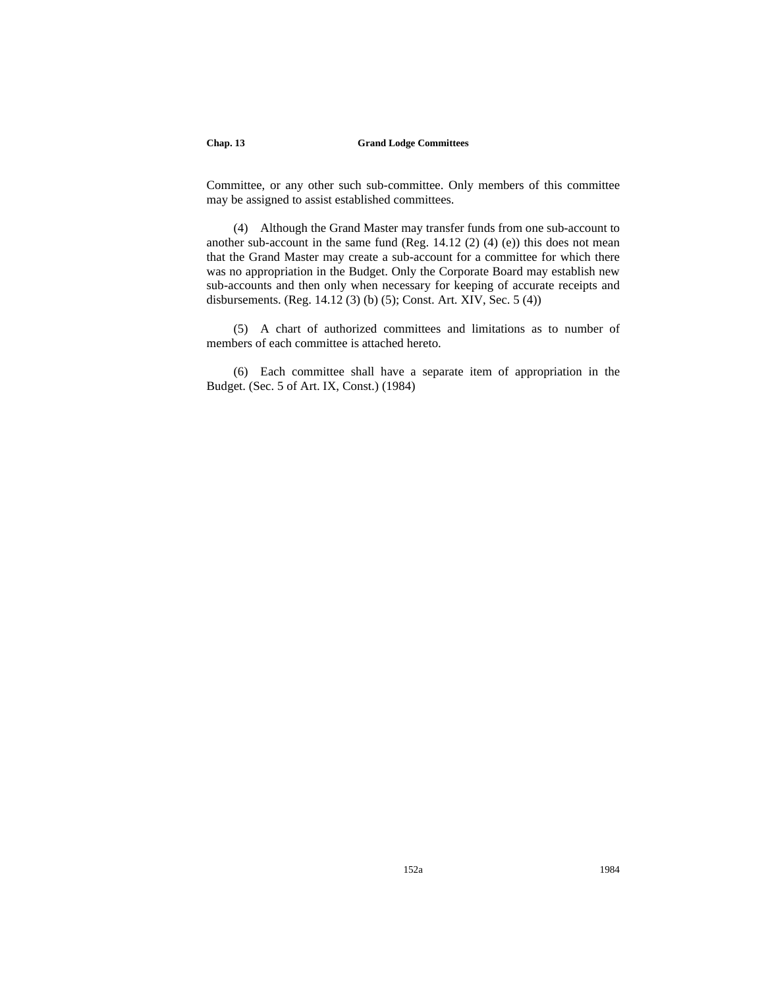## **Chap. 13 Grand Lodge Committees**

Committee, or any other such sub-committee. Only members of this committee may be assigned to assist established committees.

(4) Although the Grand Master may transfer funds from one sub-account to another sub-account in the same fund (Reg. 14.12 (2) (4) (e)) this does not mean that the Grand Master may create a sub-account for a committee for which there was no appropriation in the Budget. Only the Corporate Board may establish new sub-accounts and then only when necessary for keeping of accurate receipts and disbursements. (Reg. 14.12 (3) (b) (5); Const. Art. XIV, Sec. 5 (4))

(5) A chart of authorized committees and limitations as to number of members of each committee is attached hereto.

(6) Each committee shall have a separate item of appropriation in the Budget. (Sec. 5 of Art. IX, Const.) (1984)